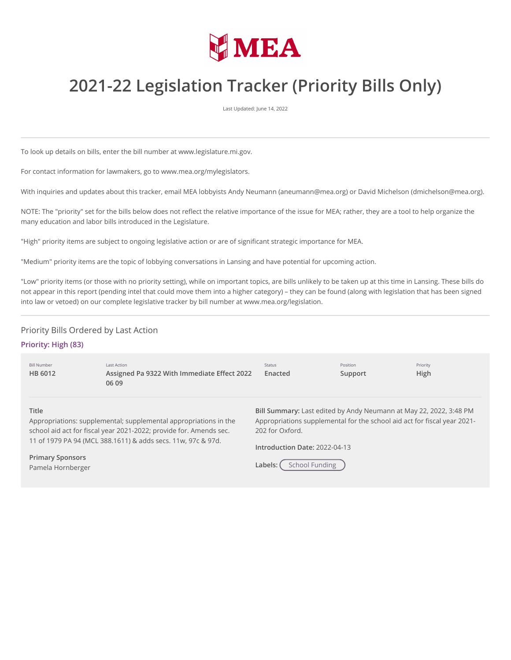

# **2021-22 Legislation Tracker (Priority Bills Only)**

Last Updated: June 14, 2022

To look up details on bills, enter the bill number at www.legislature.mi.gov.

For contact information for lawmakers, go to www.mea.org/mylegislators.

With inquiries and updates about this tracker, email MEA lobbyists Andy Neumann (aneumann@mea.org) or David Michelson (dmichelson@mea.org).

NOTE: The "priority" set for the bills below does not reflect the relative importance of the issue for MEA; rather, they are a tool to help organize the many education and labor bills introduced in the Legislature.

"High" priority items are subject to ongoing legislative action or are of significant strategic importance for MEA.

"Medium" priority items are the topic of lobbying conversations in Lansing and have potential for upcoming action.

"Low" priority items (or those with no priority setting), while on important topics, are bills unlikely to be taken up at this time in Lansing. These bills do not appear in this report (pending intel that could move them into a higher category) – they can be found (along with legislation that has been signed into law or vetoed) on our complete legislative tracker by bill number at www.mea.org/legislation.

# Priority Bills Ordered by Last Action

# **Priority: High (83)**

| <b>Bill Number</b><br>HB 6012                                                                                                                          | Last Action<br>Assigned Pa 9322 With Immediate Effect 2022<br>06 09 | Status<br>Enacted                                                                                                                                                 | Position<br>Support | Priority<br><b>High</b> |
|--------------------------------------------------------------------------------------------------------------------------------------------------------|---------------------------------------------------------------------|-------------------------------------------------------------------------------------------------------------------------------------------------------------------|---------------------|-------------------------|
| <b>Title</b><br>Appropriations: supplemental; supplemental appropriations in the<br>school aid act for fiscal year 2021-2022; provide for. Amends sec. |                                                                     | Bill Summary: Last edited by Andy Neumann at May 22, 2022, 3:48 PM<br>Appropriations supplemental for the school aid act for fiscal year 2021-<br>202 for Oxford. |                     |                         |
| 11 of 1979 PA 94 (MCL 388.1611) & adds secs. 11w, 97c & 97d.                                                                                           |                                                                     | Introduction Date: 2022-04-13                                                                                                                                     |                     |                         |
| <b>Primary Sponsors</b><br>Pamela Hornberger                                                                                                           |                                                                     | Labels:                                                                                                                                                           | School Funding      |                         |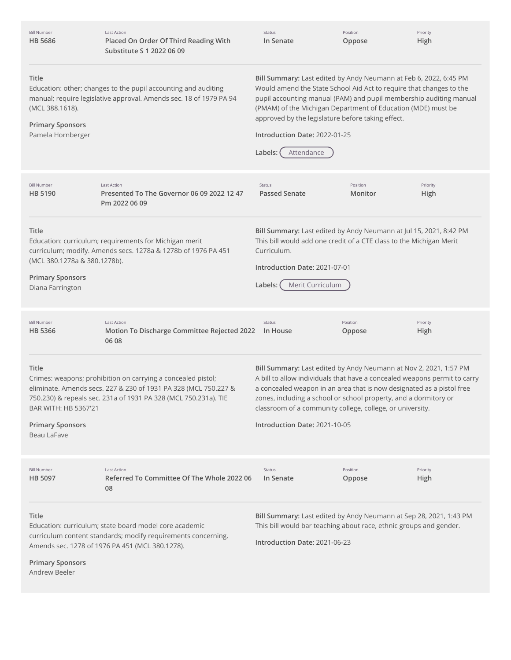| <b>Bill Number</b><br><b>HB 5686</b>                                                 | <b>Last Action</b><br>Placed On Order Of Third Reading With<br>Substitute S 1 2022 06 09                                                                                                           | Status<br>In Senate                                                                                                                                                                                                                                                                                                                                                                           | Position<br>Oppose  | Priority<br>High |
|--------------------------------------------------------------------------------------|----------------------------------------------------------------------------------------------------------------------------------------------------------------------------------------------------|-----------------------------------------------------------------------------------------------------------------------------------------------------------------------------------------------------------------------------------------------------------------------------------------------------------------------------------------------------------------------------------------------|---------------------|------------------|
| <b>Title</b><br>(MCL 388.1618).<br><b>Primary Sponsors</b><br>Pamela Hornberger      | Education: other; changes to the pupil accounting and auditing<br>manual; require legislative approval. Amends sec. 18 of 1979 PA 94                                                               | Bill Summary: Last edited by Andy Neumann at Feb 6, 2022, 6:45 PM<br>Would amend the State School Aid Act to require that changes to the<br>pupil accounting manual (PAM) and pupil membership auditing manual<br>(PMAM) of the Michigan Department of Education (MDE) must be<br>approved by the legislature before taking effect.<br>Introduction Date: 2022-01-25<br>Labels:<br>Attendance |                     |                  |
| <b>Bill Number</b><br>HB 5190                                                        | <b>Last Action</b><br>Presented To The Governor 06 09 2022 12 47<br>Pm 2022 06 09                                                                                                                  | <b>Status</b><br><b>Passed Senate</b>                                                                                                                                                                                                                                                                                                                                                         | Position<br>Monitor | Priority<br>High |
| Title<br>(MCL 380.1278a & 380.1278b).<br><b>Primary Sponsors</b><br>Diana Farrington | Education: curriculum; requirements for Michigan merit<br>curriculum; modify. Amends secs. 1278a & 1278b of 1976 PA 451                                                                            | Bill Summary: Last edited by Andy Neumann at Jul 15, 2021, 8:42 PM<br>This bill would add one credit of a CTE class to the Michigan Merit<br>Curriculum.<br>Introduction Date: 2021-07-01<br>Merit Curriculum<br>Labels:                                                                                                                                                                      |                     |                  |
| <b>Bill Number</b><br><b>HB 5366</b>                                                 | <b>Last Action</b><br>Motion To Discharge Committee Rejected 2022<br>06 08                                                                                                                         | Status<br>In House                                                                                                                                                                                                                                                                                                                                                                            | Position<br>Oppose  | Priority<br>High |
| <b>Title</b><br>BAR WITH: HB 5367'21<br><b>Primary Sponsors</b><br>Beau LaFave       | Crimes: weapons; prohibition on carrying a concealed pistol;<br>eliminate. Amends secs. 227 & 230 of 1931 PA 328 (MCL 750.227 &<br>750.230) & repeals sec. 231a of 1931 PA 328 (MCL 750.231a). TIE | Bill Summary: Last edited by Andy Neumann at Nov 2, 2021, 1:57 PM<br>A bill to allow individuals that have a concealed weapons permit to carry<br>a concealed weapon in an area that is now designated as a pistol free<br>zones, including a school or school property, and a dormitory or<br>classroom of a community college, college, or university.<br>Introduction Date: 2021-10-05     |                     |                  |
| <b>Bill Number</b><br><b>HB 5097</b>                                                 | Last Action<br>Referred To Committee Of The Whole 2022 06<br>08                                                                                                                                    | Status<br>In Senate                                                                                                                                                                                                                                                                                                                                                                           | Position<br>Oppose  | Priority<br>High |
| Title<br><b>Primary Sponsors</b><br>Andrew Beeler                                    | Education: curriculum; state board model core academic<br>curriculum content standards; modify requirements concerning.<br>Amends sec. 1278 of 1976 PA 451 (MCL 380.1278).                         | Bill Summary: Last edited by Andy Neumann at Sep 28, 2021, 1:43 PM<br>This bill would bar teaching about race, ethnic groups and gender.<br>Introduction Date: 2021-06-23                                                                                                                                                                                                                     |                     |                  |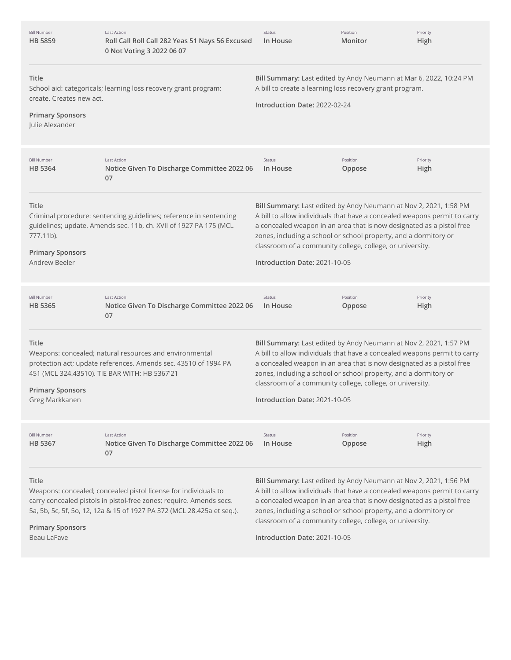| <b>Bill Number</b><br><b>HB 5859</b>                                                   | Last Action<br>Roll Call Roll Call 282 Yeas 51 Nays 56 Excused<br>0 Not Voting 3 2022 06 07                                                                                                                      | Status<br>In House                                                                                                                                                                                                                                                                                                                                                                        | Position<br>Monitor | Priority<br>High |
|----------------------------------------------------------------------------------------|------------------------------------------------------------------------------------------------------------------------------------------------------------------------------------------------------------------|-------------------------------------------------------------------------------------------------------------------------------------------------------------------------------------------------------------------------------------------------------------------------------------------------------------------------------------------------------------------------------------------|---------------------|------------------|
| <b>Title</b><br>create. Creates new act.<br><b>Primary Sponsors</b><br>Julie Alexander | School aid: categoricals; learning loss recovery grant program;                                                                                                                                                  | Bill Summary: Last edited by Andy Neumann at Mar 6, 2022, 10:24 PM<br>A bill to create a learning loss recovery grant program.<br>Introduction Date: 2022-02-24                                                                                                                                                                                                                           |                     |                  |
| <b>Bill Number</b><br><b>HB 5364</b>                                                   | <b>Last Action</b><br>Notice Given To Discharge Committee 2022 06<br>07                                                                                                                                          | Status<br>In House                                                                                                                                                                                                                                                                                                                                                                        | Position<br>Oppose  | Priority<br>High |
| <b>Title</b><br>777.11b).<br><b>Primary Sponsors</b><br>Andrew Beeler                  | Criminal procedure: sentencing guidelines; reference in sentencing<br>guidelines; update. Amends sec. 11b, ch. XVII of 1927 PA 175 (MCL                                                                          | Bill Summary: Last edited by Andy Neumann at Nov 2, 2021, 1:58 PM<br>A bill to allow individuals that have a concealed weapons permit to carry<br>a concealed weapon in an area that is now designated as a pistol free<br>zones, including a school or school property, and a dormitory or<br>classroom of a community college, college, or university.<br>Introduction Date: 2021-10-05 |                     |                  |
| <b>Bill Number</b><br><b>HB 5365</b>                                                   | Last Action<br>Notice Given To Discharge Committee 2022 06<br>07                                                                                                                                                 | Status<br>In House                                                                                                                                                                                                                                                                                                                                                                        | Position<br>Oppose  | Priority<br>High |
| Title<br><b>Primary Sponsors</b><br>Greg Markkanen                                     | Weapons: concealed; natural resources and environmental<br>protection act; update references. Amends sec. 43510 of 1994 PA<br>451 (MCL 324.43510). TIE BAR WITH: HB 5367'21                                      | Bill Summary: Last edited by Andy Neumann at Nov 2, 2021, 1:57 PM<br>A bill to allow individuals that have a concealed weapons permit to carry<br>a concealed weapon in an area that is now designated as a pistol free<br>zones, including a school or school property, and a dormitory or<br>classroom of a community college, college, or university.<br>Introduction Date: 2021-10-05 |                     |                  |
| <b>Bill Number</b><br><b>HB 5367</b>                                                   | Last Action<br>Notice Given To Discharge Committee 2022 06<br>07                                                                                                                                                 | Status<br>In House                                                                                                                                                                                                                                                                                                                                                                        | Position<br>Oppose  | Priority<br>High |
| Title<br><b>Primary Sponsors</b><br>Beau LaFave                                        | Weapons: concealed; concealed pistol license for individuals to<br>carry concealed pistols in pistol-free zones; require. Amends secs.<br>5a, 5b, 5c, 5f, 5o, 12, 12a & 15 of 1927 PA 372 (MCL 28.425a et seq.). | Bill Summary: Last edited by Andy Neumann at Nov 2, 2021, 1:56 PM<br>A bill to allow individuals that have a concealed weapons permit to carry<br>a concealed weapon in an area that is now designated as a pistol free<br>zones, including a school or school property, and a dormitory or<br>classroom of a community college, college, or university.<br>Introduction Date: 2021-10-05 |                     |                  |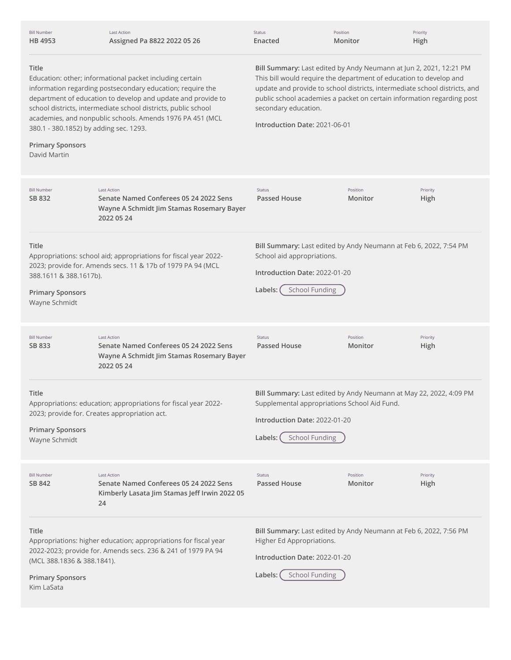| <b>Bill Number</b><br>HB 4953                                                                                                                                                                                                                                                                                                                                                                                       | <b>Last Action</b><br>Assigned Pa 8822 2022 05 26                                                                                | Status<br>Enacted                                                                                                                                                                                                                                                                                                                                         | Position<br>Monitor | Priority<br>High |
|---------------------------------------------------------------------------------------------------------------------------------------------------------------------------------------------------------------------------------------------------------------------------------------------------------------------------------------------------------------------------------------------------------------------|----------------------------------------------------------------------------------------------------------------------------------|-----------------------------------------------------------------------------------------------------------------------------------------------------------------------------------------------------------------------------------------------------------------------------------------------------------------------------------------------------------|---------------------|------------------|
| Title<br>Education: other; informational packet including certain<br>information regarding postsecondary education; require the<br>department of education to develop and update and provide to<br>school districts, intermediate school districts, public school<br>academies, and nonpublic schools. Amends 1976 PA 451 (MCL<br>380.1 - 380.1852) by adding sec. 1293.<br><b>Primary Sponsors</b><br>David Martin |                                                                                                                                  | Bill Summary: Last edited by Andy Neumann at Jun 2, 2021, 12:21 PM<br>This bill would require the department of education to develop and<br>update and provide to school districts, intermediate school districts, and<br>public school academies a packet on certain information regarding post<br>secondary education.<br>Introduction Date: 2021-06-01 |                     |                  |
| <b>Bill Number</b><br>SB 832                                                                                                                                                                                                                                                                                                                                                                                        | <b>Last Action</b><br>Senate Named Conferees 05 24 2022 Sens<br>Wayne A Schmidt Jim Stamas Rosemary Bayer<br>2022 05 24          | Status<br><b>Passed House</b>                                                                                                                                                                                                                                                                                                                             | Position<br>Monitor | Priority<br>High |
| Title<br>388.1611 & 388.1617b).<br><b>Primary Sponsors</b><br>Wayne Schmidt                                                                                                                                                                                                                                                                                                                                         | Appropriations: school aid; appropriations for fiscal year 2022-<br>2023; provide for. Amends secs. 11 & 17b of 1979 PA 94 (MCL  | Bill Summary: Last edited by Andy Neumann at Feb 6, 2022, 7:54 PM<br>School aid appropriations.<br>Introduction Date: 2022-01-20<br><b>School Funding</b><br>Labels:                                                                                                                                                                                      |                     |                  |
| <b>Bill Number</b><br>SB 833                                                                                                                                                                                                                                                                                                                                                                                        | <b>Last Action</b><br>Senate Named Conferees 05 24 2022 Sens<br>Wayne A Schmidt Jim Stamas Rosemary Bayer<br>2022 05 24          | <b>Status</b><br><b>Passed House</b>                                                                                                                                                                                                                                                                                                                      | Position<br>Monitor | Priority<br>High |
| Title<br><b>Primary Sponsors</b><br>Wayne Schmidt                                                                                                                                                                                                                                                                                                                                                                   | Appropriations: education; appropriations for fiscal year 2022-<br>2023; provide for. Creates appropriation act.                 | Bill Summary: Last edited by Andy Neumann at May 22, 2022, 4:09 PM<br>Supplemental appropriations School Aid Fund.<br>Introduction Date: 2022-01-20<br><b>School Funding</b><br>Labels: (                                                                                                                                                                 |                     |                  |
| <b>Bill Number</b><br>SB 842                                                                                                                                                                                                                                                                                                                                                                                        | <b>Last Action</b><br>Senate Named Conferees 05 24 2022 Sens<br>Kimberly Lasata Jim Stamas Jeff Irwin 2022 05<br>24              | Status<br><b>Passed House</b>                                                                                                                                                                                                                                                                                                                             | Position<br>Monitor | Priority<br>High |
| Title<br>(MCL 388.1836 & 388.1841).<br><b>Primary Sponsors</b><br>Kim LaSata                                                                                                                                                                                                                                                                                                                                        | Appropriations: higher education; appropriations for fiscal year<br>2022-2023; provide for. Amends secs. 236 & 241 of 1979 PA 94 | Bill Summary: Last edited by Andy Neumann at Feb 6, 2022, 7:56 PM<br>Higher Ed Appropriations.<br>Introduction Date: 2022-01-20<br><b>School Funding</b><br>Labels:                                                                                                                                                                                       |                     |                  |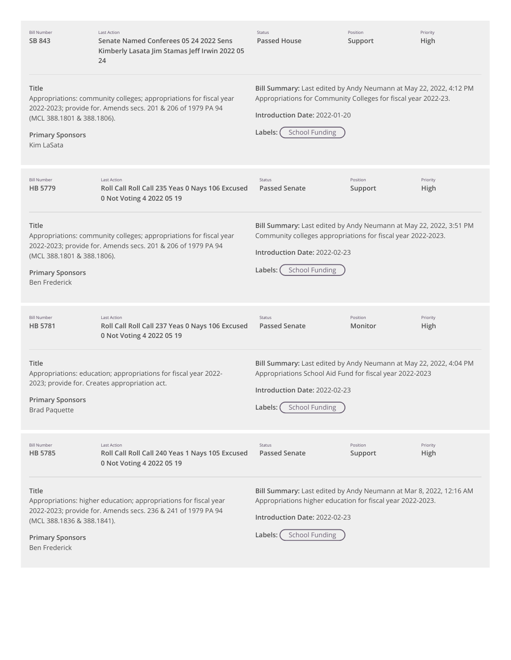| <b>Bill Number</b><br>SB 843                                                           | <b>Last Action</b><br>Senate Named Conferees 05 24 2022 Sens<br>Kimberly Lasata Jim Stamas Jeff Irwin 2022 05<br>24                | <b>Status</b><br>Passed House                                                                                                                                                                             | Position<br>Support | Priority<br>High |
|----------------------------------------------------------------------------------------|------------------------------------------------------------------------------------------------------------------------------------|-----------------------------------------------------------------------------------------------------------------------------------------------------------------------------------------------------------|---------------------|------------------|
| Title<br>(MCL 388.1801 & 388.1806).<br><b>Primary Sponsors</b><br>Kim LaSata           | Appropriations: community colleges; appropriations for fiscal year<br>2022-2023; provide for. Amends secs. 201 & 206 of 1979 PA 94 | Bill Summary: Last edited by Andy Neumann at May 22, 2022, 4:12 PM<br>Appropriations for Community Colleges for fiscal year 2022-23.<br>Introduction Date: 2022-01-20<br><b>School Funding</b><br>Labels: |                     |                  |
| <b>Bill Number</b><br>HB 5779                                                          | <b>Last Action</b><br>Roll Call Roll Call 235 Yeas 0 Nays 106 Excused<br>0 Not Voting 4 2022 05 19                                 | <b>Status</b><br>Passed Senate                                                                                                                                                                            | Position<br>Support | Priority<br>High |
| Title<br>(MCL 388.1801 & 388.1806).<br><b>Primary Sponsors</b><br><b>Ben Frederick</b> | Appropriations: community colleges; appropriations for fiscal year<br>2022-2023; provide for. Amends secs. 201 & 206 of 1979 PA 94 | Bill Summary: Last edited by Andy Neumann at May 22, 2022, 3:51 PM<br>Community colleges appropriations for fiscal year 2022-2023.<br>Introduction Date: 2022-02-23<br><b>School Funding</b><br>Labels:   |                     |                  |
| <b>Bill Number</b><br>HB 5781                                                          | <b>Last Action</b><br>Roll Call Roll Call 237 Yeas 0 Nays 106 Excused<br>0 Not Voting 4 2022 05 19                                 | <b>Status</b><br><b>Passed Senate</b>                                                                                                                                                                     | Position<br>Monitor | Priority<br>High |
| <b>Title</b><br><b>Primary Sponsors</b><br><b>Brad Paquette</b>                        | Appropriations: education; appropriations for fiscal year 2022-<br>2023; provide for. Creates appropriation act.                   | Bill Summary: Last edited by Andy Neumann at May 22, 2022, 4:04 PM<br>Appropriations School Aid Fund for fiscal year 2022-2023<br>Introduction Date: 2022-02-23<br><b>School Funding</b><br>Labels:       |                     |                  |
| <b>Bill Number</b><br>HB 5785                                                          | <b>Last Action</b><br>Roll Call Roll Call 240 Yeas 1 Nays 105 Excused<br>0 Not Voting 4 2022 05 19                                 | <b>Status</b><br><b>Passed Senate</b>                                                                                                                                                                     | Position<br>Support | Priority<br>High |
| Title<br>(MCL 388.1836 & 388.1841).<br><b>Primary Sponsors</b><br><b>Ben Frederick</b> | Appropriations: higher education; appropriations for fiscal year<br>2022-2023; provide for. Amends secs. 236 & 241 of 1979 PA 94   | Bill Summary: Last edited by Andy Neumann at Mar 8, 2022, 12:16 AM<br>Appropriations higher education for fiscal year 2022-2023.<br>Introduction Date: 2022-02-23<br><b>School Funding</b><br>Labels:     |                     |                  |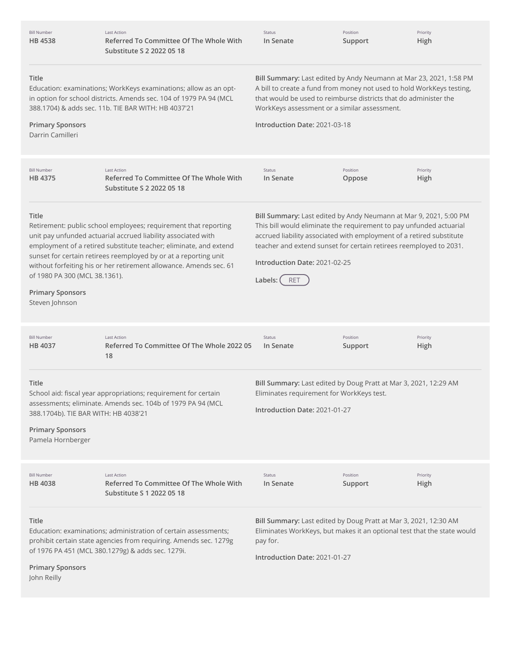| <b>Bill Number</b><br>HB 4538                                                                 | <b>Last Action</b><br>Referred To Committee Of The Whole With<br>Substitute S 2 2022 05 18                                                                                                                                                                                                                                                      | Status<br>In Senate                                                                                                                                                                                                                                                                                                                                | Position<br>Support | Priority<br>High |
|-----------------------------------------------------------------------------------------------|-------------------------------------------------------------------------------------------------------------------------------------------------------------------------------------------------------------------------------------------------------------------------------------------------------------------------------------------------|----------------------------------------------------------------------------------------------------------------------------------------------------------------------------------------------------------------------------------------------------------------------------------------------------------------------------------------------------|---------------------|------------------|
| Title<br><b>Primary Sponsors</b><br>Darrin Camilleri                                          | Education: examinations; WorkKeys examinations; allow as an opt-<br>in option for school districts. Amends sec. 104 of 1979 PA 94 (MCL<br>388.1704) & adds sec. 11b. TIE BAR WITH: HB 4037'21                                                                                                                                                   | Bill Summary: Last edited by Andy Neumann at Mar 23, 2021, 1:58 PM<br>A bill to create a fund from money not used to hold WorkKeys testing,<br>that would be used to reimburse districts that do administer the<br>WorkKeys assessment or a similar assessment.<br>Introduction Date: 2021-03-18                                                   |                     |                  |
| <b>Bill Number</b><br><b>HB 4375</b>                                                          | <b>Last Action</b><br>Referred To Committee Of The Whole With<br>Substitute S 2 2022 05 18                                                                                                                                                                                                                                                      | Status<br>In Senate                                                                                                                                                                                                                                                                                                                                | Position<br>Oppose  | Priority<br>High |
| Title<br>of 1980 PA 300 (MCL 38.1361).<br><b>Primary Sponsors</b><br>Steven Johnson           | Retirement: public school employees; requirement that reporting<br>unit pay unfunded actuarial accrued liability associated with<br>employment of a retired substitute teacher; eliminate, and extend<br>sunset for certain retirees reemployed by or at a reporting unit<br>without forfeiting his or her retirement allowance. Amends sec. 61 | Bill Summary: Last edited by Andy Neumann at Mar 9, 2021, 5:00 PM<br>This bill would eliminate the requirement to pay unfunded actuarial<br>accrued liability associated with employment of a retired substitute<br>teacher and extend sunset for certain retirees reemployed to 2031.<br>Introduction Date: 2021-02-25<br><b>RET</b><br>Labels: ( |                     |                  |
| <b>Bill Number</b><br>HB 4037                                                                 | <b>Last Action</b><br>Referred To Committee Of The Whole 2022 05<br>18                                                                                                                                                                                                                                                                          | Status<br>In Senate                                                                                                                                                                                                                                                                                                                                | Position<br>Support | Priority<br>High |
| Title<br>388.1704b). TIE BAR WITH: HB 4038'21<br><b>Primary Sponsors</b><br>Pamela Hornberger | School aid: fiscal year appropriations; requirement for certain<br>assessments; eliminate. Amends sec. 104b of 1979 PA 94 (MCL                                                                                                                                                                                                                  | Bill Summary: Last edited by Doug Pratt at Mar 3, 2021, 12:29 AM<br>Eliminates requirement for WorkKeys test.<br>Introduction Date: 2021-01-27                                                                                                                                                                                                     |                     |                  |
| <b>Bill Number</b><br><b>HB4038</b>                                                           | Last Action<br>Referred To Committee Of The Whole With<br>Substitute S 1 2022 05 18                                                                                                                                                                                                                                                             | Status<br>In Senate                                                                                                                                                                                                                                                                                                                                | Position<br>Support | Priority<br>High |
| <b>Title</b><br><b>Primary Sponsors</b><br>John Reilly                                        | Education: examinations; administration of certain assessments;<br>prohibit certain state agencies from requiring. Amends sec. 1279g<br>of 1976 PA 451 (MCL 380.1279g) & adds sec. 1279i.                                                                                                                                                       | Bill Summary: Last edited by Doug Pratt at Mar 3, 2021, 12:30 AM<br>Eliminates WorkKeys, but makes it an optional test that the state would<br>pay for.<br>Introduction Date: 2021-01-27                                                                                                                                                           |                     |                  |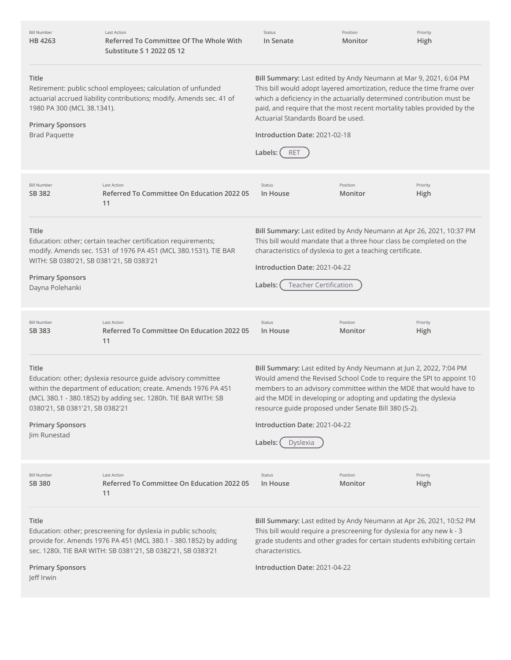| <b>Bill Number</b><br>HB 4263                                                                                                                                                                                                  | <b>Last Action</b><br>Referred To Committee Of The Whole With<br>Substitute S 1 2022 05 12                                                                                                         | Status<br>In Senate                                                                                                                                                                                                                                                                                                                                                                               | Position<br>Monitor                                                                                                     | Priority<br>High                                                                                                                                                                                                        |
|--------------------------------------------------------------------------------------------------------------------------------------------------------------------------------------------------------------------------------|----------------------------------------------------------------------------------------------------------------------------------------------------------------------------------------------------|---------------------------------------------------------------------------------------------------------------------------------------------------------------------------------------------------------------------------------------------------------------------------------------------------------------------------------------------------------------------------------------------------|-------------------------------------------------------------------------------------------------------------------------|-------------------------------------------------------------------------------------------------------------------------------------------------------------------------------------------------------------------------|
| Title<br>Retirement: public school employees; calculation of unfunded<br>actuarial accrued liability contributions; modify. Amends sec. 41 of<br>1980 PA 300 (MCL 38.1341).<br><b>Primary Sponsors</b><br><b>Brad Paquette</b> |                                                                                                                                                                                                    | Bill Summary: Last edited by Andy Neumann at Mar 9, 2021, 6:04 PM<br>This bill would adopt layered amortization, reduce the time frame over<br>which a deficiency in the actuarially determined contribution must be<br>paid, and require that the most recent mortality tables provided by the<br>Actuarial Standards Board be used.<br>Introduction Date: 2021-02-18<br>Labels: (<br><b>RET</b> |                                                                                                                         |                                                                                                                                                                                                                         |
| <b>Bill Number</b><br>SB 382                                                                                                                                                                                                   | <b>Last Action</b><br>Referred To Committee On Education 2022 05<br>11                                                                                                                             | Status<br>In House                                                                                                                                                                                                                                                                                                                                                                                | Position<br>Monitor                                                                                                     | Priority<br>High                                                                                                                                                                                                        |
| Title<br>WITH: SB 0380'21, SB 0381'21, SB 0383'21<br><b>Primary Sponsors</b><br>Dayna Polehanki                                                                                                                                | Education: other; certain teacher certification requirements;<br>modify. Amends sec. 1531 of 1976 PA 451 (MCL 380.1531). TIE BAR                                                                   | Introduction Date: 2021-04-22<br><b>Teacher Certification</b><br>Labels:                                                                                                                                                                                                                                                                                                                          | characteristics of dyslexia to get a teaching certificate.                                                              | Bill Summary: Last edited by Andy Neumann at Apr 26, 2021, 10:37 PM<br>This bill would mandate that a three hour class be completed on the                                                                              |
| <b>Bill Number</b><br>SB 383                                                                                                                                                                                                   | <b>Last Action</b><br>Referred To Committee On Education 2022 05<br>11                                                                                                                             | Status<br>In House                                                                                                                                                                                                                                                                                                                                                                                | Position<br>Monitor                                                                                                     | Priority<br>High                                                                                                                                                                                                        |
| Title<br>0380'21, SB 0381'21, SB 0382'21<br><b>Primary Sponsors</b><br>Jim Runestad                                                                                                                                            | Education: other; dyslexia resource guide advisory committee<br>within the department of education; create. Amends 1976 PA 451<br>(MCL 380.1 - 380.1852) by adding sec. 1280h. TIE BAR WITH: SB    | Introduction Date: 2021-04-22<br>Labels:<br>Dyslexia                                                                                                                                                                                                                                                                                                                                              | aid the MDE in developing or adopting and updating the dyslexia<br>resource guide proposed under Senate Bill 380 (S-2). | Bill Summary: Last edited by Andy Neumann at Jun 2, 2022, 7:04 PM<br>Would amend the Revised School Code to require the SPI to appoint 10<br>members to an advisory committee within the MDE that would have to         |
| <b>Bill Number</b><br>SB 380                                                                                                                                                                                                   | <b>Last Action</b><br>Referred To Committee On Education 2022 05<br>11                                                                                                                             | Status<br>In House                                                                                                                                                                                                                                                                                                                                                                                | Position<br>Monitor                                                                                                     | Priority<br>High                                                                                                                                                                                                        |
| Title<br><b>Primary Sponsors</b><br>Jeff Irwin                                                                                                                                                                                 | Education: other; prescreening for dyslexia in public schools;<br>provide for. Amends 1976 PA 451 (MCL 380.1 - 380.1852) by adding<br>sec. 1280i. TIE BAR WITH: SB 0381'21, SB 0382'21, SB 0383'21 | characteristics.<br>Introduction Date: 2021-04-22                                                                                                                                                                                                                                                                                                                                                 |                                                                                                                         | Bill Summary: Last edited by Andy Neumann at Apr 26, 2021, 10:52 PM<br>This bill would require a prescreening for dyslexia for any new k - 3<br>grade students and other grades for certain students exhibiting certain |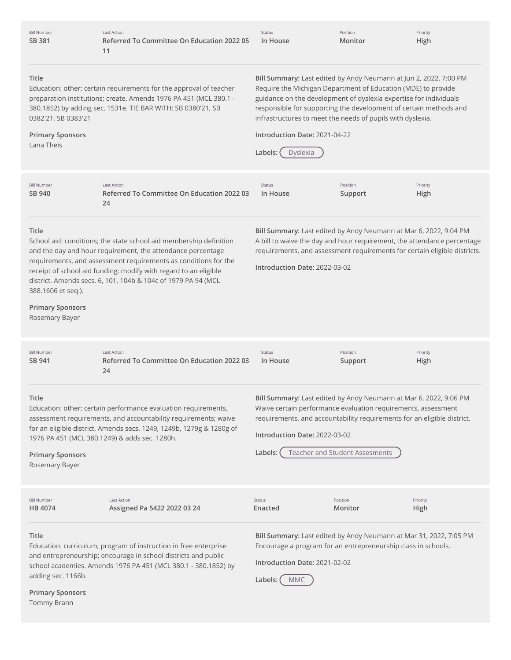| <b>Bill Number</b><br>SB 381                                             | <b>Last Action</b><br>Referred To Committee On Education 2022 05<br>11                                                                                                                                                                                                                                                                    | Status<br>In House                                                                                                                                                                                                                                                                                                                                                                                 | Position<br>Monitor            | Priority<br>High |
|--------------------------------------------------------------------------|-------------------------------------------------------------------------------------------------------------------------------------------------------------------------------------------------------------------------------------------------------------------------------------------------------------------------------------------|----------------------------------------------------------------------------------------------------------------------------------------------------------------------------------------------------------------------------------------------------------------------------------------------------------------------------------------------------------------------------------------------------|--------------------------------|------------------|
| Title<br>0382'21, SB 0383'21<br><b>Primary Sponsors</b><br>Lana Theis    | Education: other; certain requirements for the approval of teacher<br>preparation institutions; create. Amends 1976 PA 451 (MCL 380.1 -<br>380.1852) by adding sec. 1531e. TIE BAR WITH: SB 0380'21, SB                                                                                                                                   | Bill Summary: Last edited by Andy Neumann at Jun 2, 2022, 7:00 PM<br>Require the Michigan Department of Education (MDE) to provide<br>guidance on the development of dyslexia expertise for individuals<br>responsible for supporting the development of certain methods and<br>infrastructures to meet the needs of pupils with dyslexia.<br>Introduction Date: 2021-04-22<br>Labels:<br>Dyslexia |                                |                  |
| <b>Bill Number</b><br>SB 940                                             | <b>Last Action</b><br>Referred To Committee On Education 2022 03<br>24                                                                                                                                                                                                                                                                    | Status<br>In House                                                                                                                                                                                                                                                                                                                                                                                 | Position<br>Support            | Priority<br>High |
| Title<br>388.1606 et seq.).<br><b>Primary Sponsors</b><br>Rosemary Bayer | School aid: conditions; the state school aid membership definition<br>and the day and hour requirement, the attendance percentage<br>requirements, and assessment requirements as conditions for the<br>receipt of school aid funding; modify with regard to an eligible<br>district. Amends secs. 6, 101, 104b & 104c of 1979 PA 94 (MCL | Bill Summary: Last edited by Andy Neumann at Mar 6, 2022, 9:04 PM<br>A bill to waive the day and hour requirement, the attendance percentage<br>requirements, and assessment requirements for certain eligible districts.<br>Introduction Date: 2022-03-02                                                                                                                                         |                                |                  |
| <b>Bill Number</b><br>SB 941                                             | <b>Last Action</b><br>Referred To Committee On Education 2022 03<br>24                                                                                                                                                                                                                                                                    | Status<br>In House                                                                                                                                                                                                                                                                                                                                                                                 | Position<br>Support            | Priority<br>High |
| Title<br><b>Primary Sponsors</b><br>Rosemary Bayer                       | Education: other; certain performance evaluation requirements,<br>assessment requirements, and accountability requirements; waive<br>for an eligible district. Amends secs. 1249, 1249b, 1279g & 1280g of<br>1976 PA 451 (MCL 380.1249) & adds sec. 1280h.                                                                                | Bill Summary: Last edited by Andy Neumann at Mar 6, 2022, 9:06 PM<br>Waive certain performance evaluation requirements, assessment<br>requirements, and accountability requirements for an eligible district.<br>Introduction Date: 2022-03-02<br>Labels:                                                                                                                                          | Teacher and Student Assesments |                  |
| <b>Bill Number</b><br>HB 4074                                            | Last Action<br>Assigned Pa 5422 2022 03 24                                                                                                                                                                                                                                                                                                | Status<br>Enacted                                                                                                                                                                                                                                                                                                                                                                                  | Position<br>Monitor            | Priority<br>High |
| Title<br>adding sec. 1166b.<br><b>Primary Sponsors</b><br>Tommy Brann    | Education: curriculum; program of instruction in free enterprise<br>and entrepreneurship; encourage in school districts and public<br>school academies. Amends 1976 PA 451 (MCL 380.1 - 380.1852) by                                                                                                                                      | Bill Summary: Last edited by Andy Neumann at Mar 31, 2022, 7:05 PM<br>Encourage a program for an entrepreneurship class in schools.<br>Introduction Date: 2021-02-02<br><b>MMC</b><br>Labels:                                                                                                                                                                                                      |                                |                  |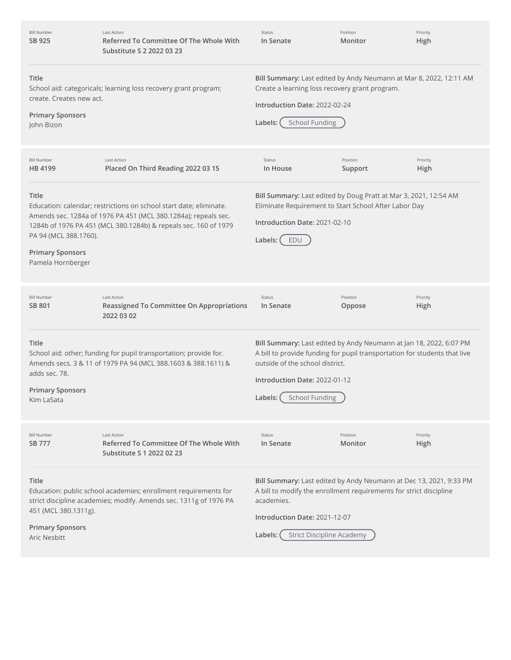| <b>Bill Number</b><br>SB 925                                                   | <b>Last Action</b><br>Referred To Committee Of The Whole With<br>Substitute S 2 2022 03 23                                                                                                              | Status<br>In Senate                                                                                                                                                                                                                                       | Position<br>Monitor | Priority<br>High |
|--------------------------------------------------------------------------------|---------------------------------------------------------------------------------------------------------------------------------------------------------------------------------------------------------|-----------------------------------------------------------------------------------------------------------------------------------------------------------------------------------------------------------------------------------------------------------|---------------------|------------------|
| Title<br>create. Creates new act.<br><b>Primary Sponsors</b><br>John Bizon     | School aid: categoricals; learning loss recovery grant program;                                                                                                                                         | Bill Summary: Last edited by Andy Neumann at Mar 8, 2022, 12:11 AM<br>Create a learning loss recovery grant program.<br>Introduction Date: 2022-02-24<br><b>School Funding</b><br>Labels:                                                                 |                     |                  |
| <b>Bill Number</b><br>HB 4199                                                  | <b>Last Action</b><br>Placed On Third Reading 2022 03 15                                                                                                                                                | Status<br>In House                                                                                                                                                                                                                                        | Position<br>Support | Priority<br>High |
| Title<br>PA 94 (MCL 388.1760).<br><b>Primary Sponsors</b><br>Pamela Hornberger | Education: calendar; restrictions on school start date; eliminate.<br>Amends sec. 1284a of 1976 PA 451 (MCL 380.1284a); repeals sec.<br>1284b of 1976 PA 451 (MCL 380.1284b) & repeals sec. 160 of 1979 | Bill Summary: Last edited by Doug Pratt at Mar 3, 2021, 12:54 AM<br>Eliminate Requirement to Start School After Labor Day<br>Introduction Date: 2021-02-10<br>Labels:<br>EDU                                                                              |                     |                  |
| <b>Bill Number</b><br>SB 801                                                   | <b>Last Action</b><br><b>Reassigned To Committee On Appropriations</b><br>2022 03 02                                                                                                                    | Status<br>In Senate                                                                                                                                                                                                                                       | Position<br>Oppose  | Priority<br>High |
| Title<br>adds sec. 78.<br><b>Primary Sponsors</b><br>Kim LaSata                | School aid: other; funding for pupil transportation; provide for.<br>Amends secs. 3 & 11 of 1979 PA 94 (MCL 388.1603 & 388.1611) &                                                                      | Bill Summary: Last edited by Andy Neumann at Jan 18, 2022, 6:07 PM<br>A bill to provide funding for pupil transportation for students that live<br>outside of the school district.<br>Introduction Date: 2022-01-12<br>Labels: (<br><b>School Funding</b> |                     |                  |
| <b>Bill Number</b><br>SB 777                                                   | <b>Last Action</b><br>Referred To Committee Of The Whole With<br>Substitute S 1 2022 02 23                                                                                                              | Status<br>In Senate                                                                                                                                                                                                                                       | Position<br>Monitor | Priority<br>High |
| Title<br>451 (MCL 380.1311g).<br><b>Primary Sponsors</b><br>Aric Nesbitt       | Education: public school academies; enrollment requirements for<br>strict discipline academies; modify. Amends sec. 1311g of 1976 PA                                                                    | Bill Summary: Last edited by Andy Neumann at Dec 13, 2021, 9:33 PM<br>A bill to modify the enrollment requirements for strict discipline<br>academies.<br>Introduction Date: 2021-12-07<br><b>Strict Discipline Academy</b><br>Labels:                    |                     |                  |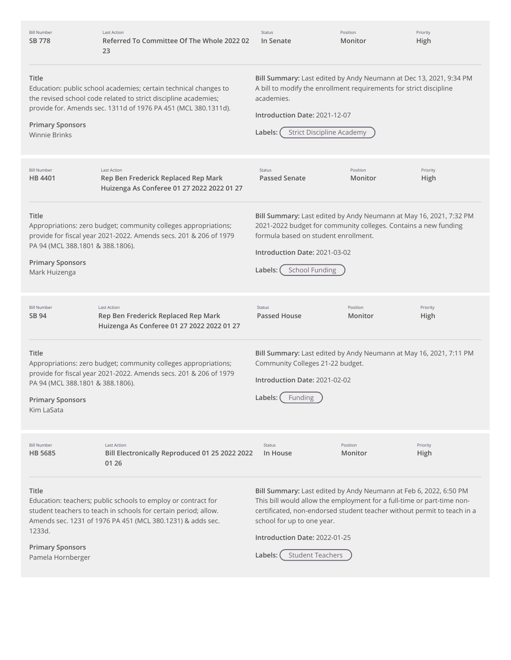| <b>Bill Number</b><br>SB 778                                                          | <b>Last Action</b><br>Referred To Committee Of The Whole 2022 02<br>23                                                                                                                                | Status<br>In Senate                                                                                                                                                                                                                                | Position<br>Monitor | Priority<br>High |
|---------------------------------------------------------------------------------------|-------------------------------------------------------------------------------------------------------------------------------------------------------------------------------------------------------|----------------------------------------------------------------------------------------------------------------------------------------------------------------------------------------------------------------------------------------------------|---------------------|------------------|
| <b>Title</b><br><b>Primary Sponsors</b><br><b>Winnie Brinks</b>                       | Education: public school academies; certain technical changes to<br>the revised school code related to strict discipline academies;<br>provide for. Amends sec. 1311d of 1976 PA 451 (MCL 380.1311d). | Bill Summary: Last edited by Andy Neumann at Dec 13, 2021, 9:34 PM<br>A bill to modify the enrollment requirements for strict discipline<br>academies.<br>Introduction Date: 2021-12-07<br><b>Strict Discipline Academy</b><br>Labels:             |                     |                  |
| <b>Bill Number</b><br>HB 4401                                                         | <b>Last Action</b><br>Rep Ben Frederick Replaced Rep Mark<br>Huizenga As Conferee 01 27 2022 2022 01 27                                                                                               | Status<br><b>Passed Senate</b>                                                                                                                                                                                                                     | Position<br>Monitor | Priority<br>High |
| Title<br>PA 94 (MCL 388.1801 & 388.1806).<br><b>Primary Sponsors</b><br>Mark Huizenga | Appropriations: zero budget; community colleges appropriations;<br>provide for fiscal year 2021-2022. Amends secs. 201 & 206 of 1979                                                                  | Bill Summary: Last edited by Andy Neumann at May 16, 2021, 7:32 PM<br>2021-2022 budget for community colleges. Contains a new funding<br>formula based on student enrollment.<br>Introduction Date: 2021-03-02<br><b>School Funding</b><br>Labels: |                     |                  |
|                                                                                       |                                                                                                                                                                                                       |                                                                                                                                                                                                                                                    |                     |                  |
| <b>Bill Number</b><br>SB 94                                                           | <b>Last Action</b><br>Rep Ben Frederick Replaced Rep Mark<br>Huizenga As Conferee 01 27 2022 2022 01 27                                                                                               | <b>Status</b><br><b>Passed House</b>                                                                                                                                                                                                               | Position<br>Monitor | Priority<br>High |
| Title<br>PA 94 (MCL 388.1801 & 388.1806).<br><b>Primary Sponsors</b><br>Kim LaSata    | Appropriations: zero budget; community colleges appropriations;<br>provide for fiscal year 2021-2022. Amends secs. 201 & 206 of 1979                                                                  | Bill Summary: Last edited by Andy Neumann at May 16, 2021, 7:11 PM<br>Community Colleges 21-22 budget.<br>Introduction Date: 2021-02-02<br>Labels:<br>Funding                                                                                      |                     |                  |
| <b>Bill Number</b><br><b>HB 5685</b>                                                  | <b>Last Action</b><br>Bill Electronically Reproduced 01 25 2022 2022<br>01 26                                                                                                                         | Status<br>In House                                                                                                                                                                                                                                 | Position<br>Monitor | Priority<br>High |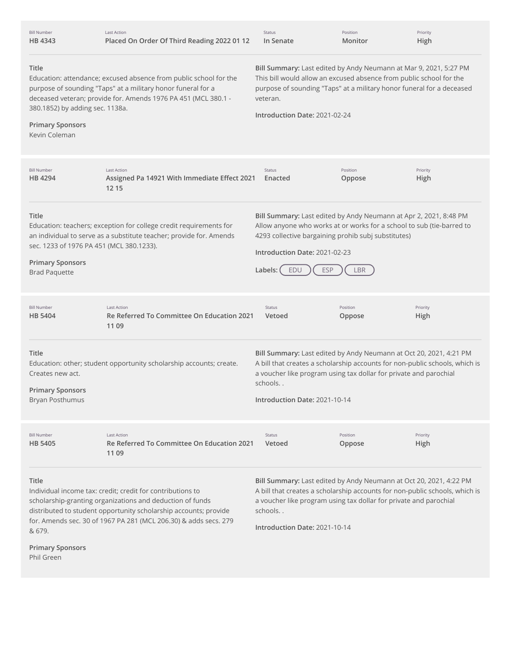| <b>Bill Number</b><br>HB 4343                                                                                                                                                                                                                                                                                               | <b>Last Action</b><br>Placed On Order Of Third Reading 2022 01 12                                                                                                                                   | Status<br>In Senate                                                                                                                                                                                                                                                  | Position<br>Monitor | Priority<br>High |
|-----------------------------------------------------------------------------------------------------------------------------------------------------------------------------------------------------------------------------------------------------------------------------------------------------------------------------|-----------------------------------------------------------------------------------------------------------------------------------------------------------------------------------------------------|----------------------------------------------------------------------------------------------------------------------------------------------------------------------------------------------------------------------------------------------------------------------|---------------------|------------------|
| Title<br>380.1852) by adding sec. 1138a.<br><b>Primary Sponsors</b><br>Kevin Coleman                                                                                                                                                                                                                                        | Education: attendance; excused absence from public school for the<br>purpose of sounding "Taps" at a military honor funeral for a<br>deceased veteran; provide for. Amends 1976 PA 451 (MCL 380.1 - | Bill Summary: Last edited by Andy Neumann at Mar 9, 2021, 5:27 PM<br>This bill would allow an excused absence from public school for the<br>purpose of sounding "Taps" at a military honor funeral for a deceased<br>veteran.<br>Introduction Date: 2021-02-24       |                     |                  |
| <b>Bill Number</b><br>HB 4294                                                                                                                                                                                                                                                                                               | <b>Last Action</b><br>Assigned Pa 14921 With Immediate Effect 2021<br>12 15                                                                                                                         | <b>Status</b><br>Enacted                                                                                                                                                                                                                                             | Position<br>Oppose  | Priority<br>High |
| Title<br>sec. 1233 of 1976 PA 451 (MCL 380.1233).<br><b>Primary Sponsors</b><br><b>Brad Paquette</b>                                                                                                                                                                                                                        | Education: teachers; exception for college credit requirements for<br>an individual to serve as a substitute teacher; provide for. Amends                                                           | Bill Summary: Last edited by Andy Neumann at Apr 2, 2021, 8:48 PM<br>Allow anyone who works at or works for a school to sub (tie-barred to<br>4293 collective bargaining prohib subj substitutes)<br>Introduction Date: 2021-02-23<br><b>ESP</b><br>Labels: (<br>EDU | LBR                 |                  |
| <b>Bill Number</b><br>HB 5404                                                                                                                                                                                                                                                                                               | <b>Last Action</b><br>Re Referred To Committee On Education 2021<br>11 09                                                                                                                           | Status<br>Vetoed                                                                                                                                                                                                                                                     | Position<br>Oppose  | Priority<br>High |
| Title<br>Creates new act.<br><b>Primary Sponsors</b><br>Bryan Posthumus                                                                                                                                                                                                                                                     | Education: other; student opportunity scholarship accounts; create.                                                                                                                                 | Bill Summary: Last edited by Andy Neumann at Oct 20, 2021, 4:21 PM<br>A bill that creates a scholarship accounts for non-public schools, which is<br>a voucher like program using tax dollar for private and parochial<br>schools<br>Introduction Date: 2021-10-14   |                     |                  |
| <b>Bill Number</b><br><b>HB 5405</b>                                                                                                                                                                                                                                                                                        | <b>Last Action</b><br>Re Referred To Committee On Education 2021<br>11 09                                                                                                                           | Status<br>Vetoed                                                                                                                                                                                                                                                     | Position<br>Oppose  | Priority<br>High |
| Title<br>Individual income tax: credit; credit for contributions to<br>scholarship-granting organizations and deduction of funds<br>distributed to student opportunity scholarship accounts; provide<br>for. Amends sec. 30 of 1967 PA 281 (MCL 206.30) & adds secs. 279<br>& 679.<br><b>Primary Sponsors</b><br>Phil Green |                                                                                                                                                                                                     | Bill Summary: Last edited by Andy Neumann at Oct 20, 2021, 4:22 PM<br>A bill that creates a scholarship accounts for non-public schools, which is<br>a voucher like program using tax dollar for private and parochial<br>schools<br>Introduction Date: 2021-10-14   |                     |                  |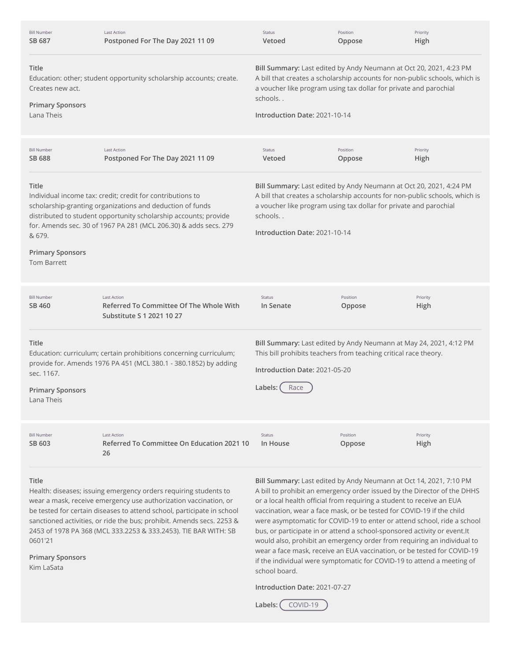| <b>Bill Number</b><br>SB 687                                       | <b>Last Action</b><br>Postponed For The Day 2021 11 09                                                                                                                                                                                                          | Status<br>Vetoed                                                                                                                                                                                                                                                   | Position<br>Oppose                                                | Priority<br>High                                                                                                                                                                                                        |
|--------------------------------------------------------------------|-----------------------------------------------------------------------------------------------------------------------------------------------------------------------------------------------------------------------------------------------------------------|--------------------------------------------------------------------------------------------------------------------------------------------------------------------------------------------------------------------------------------------------------------------|-------------------------------------------------------------------|-------------------------------------------------------------------------------------------------------------------------------------------------------------------------------------------------------------------------|
| Title<br>Creates new act.<br><b>Primary Sponsors</b><br>Lana Theis | Education: other; student opportunity scholarship accounts; create.                                                                                                                                                                                             | schools<br>Introduction Date: 2021-10-14                                                                                                                                                                                                                           | a voucher like program using tax dollar for private and parochial | Bill Summary: Last edited by Andy Neumann at Oct 20, 2021, 4:23 PM<br>A bill that creates a scholarship accounts for non-public schools, which is                                                                       |
| <b>Bill Number</b><br>SB 688                                       | <b>Last Action</b><br>Postponed For The Day 2021 11 09                                                                                                                                                                                                          | Status<br>Vetoed                                                                                                                                                                                                                                                   | Position<br>Oppose                                                | Priority<br>High                                                                                                                                                                                                        |
| Title<br>& 679.<br><b>Primary Sponsors</b><br><b>Tom Barrett</b>   | Individual income tax: credit; credit for contributions to<br>scholarship-granting organizations and deduction of funds<br>distributed to student opportunity scholarship accounts; provide<br>for. Amends sec. 30 of 1967 PA 281 (MCL 206.30) & adds secs. 279 | Bill Summary: Last edited by Andy Neumann at Oct 20, 2021, 4:24 PM<br>A bill that creates a scholarship accounts for non-public schools, which is<br>a voucher like program using tax dollar for private and parochial<br>schools<br>Introduction Date: 2021-10-14 |                                                                   |                                                                                                                                                                                                                         |
| <b>Bill Number</b><br>SB 460                                       | <b>Last Action</b><br>Referred To Committee Of The Whole With<br>Substitute S 1 2021 10 27                                                                                                                                                                      | Status<br>In Senate                                                                                                                                                                                                                                                | Position<br>Oppose                                                | Priority<br>High                                                                                                                                                                                                        |
| Title<br>sec. 1167.<br><b>Primary Sponsors</b><br>Lana Theis       | Education: curriculum; certain prohibitions concerning curriculum;<br>provide for. Amends 1976 PA 451 (MCL 380.1 - 380.1852) by adding                                                                                                                          | Bill Summary: Last edited by Andy Neumann at May 24, 2021, 4:12 PM<br>This bill prohibits teachers from teaching critical race theory.<br>Introduction Date: 2021-05-20<br>Race<br>Labels:                                                                         |                                                                   |                                                                                                                                                                                                                         |
| <b>Bill Number</b><br>SB 603                                       | <b>Last Action</b><br>Referred To Committee On Education 2021 10<br>26                                                                                                                                                                                          | Status<br>In House                                                                                                                                                                                                                                                 | Position<br>Oppose                                                | Priority<br>High                                                                                                                                                                                                        |
| Title                                                              | Health: diseases; issuing emergency orders requiring students to<br>wear a mask, receive emergency use authorization vaccination, or                                                                                                                            |                                                                                                                                                                                                                                                                    |                                                                   | Bill Summary: Last edited by Andy Neumann at Oct 14, 2021, 7:10 PM<br>A bill to prohibit an emergency order issued by the Director of the DHHS<br>or a local health official from requiring a student to receive an EUA |

wear a mask, receive emergency use authorization vaccination, or be tested for certain diseases to attend school, participate in school sanctioned activities, or ride the bus; prohibit. Amends secs. 2253 & 2453 of 1978 PA 368 (MCL 333.2253 & 333.2453). TIE BAR WITH: SB 0601'21

**Primary Sponsors** Kim LaSata

or a local health official from requiring a student to receive an EUA vaccination, wear a face mask, or be tested for COVID-19 if the child were asymptomatic for COVID-19 to enter or attend school, ride a school bus, or participate in or attend a school-sponsored activity or event.It would also, prohibit an emergency order from requiring an individual to wear a face mask, receive an EUA vaccination, or be tested for COVID-19 if the individual were symptomatic for COVID-19 to attend a meeting of school board.

**Introduction Date:** 2021-07-27

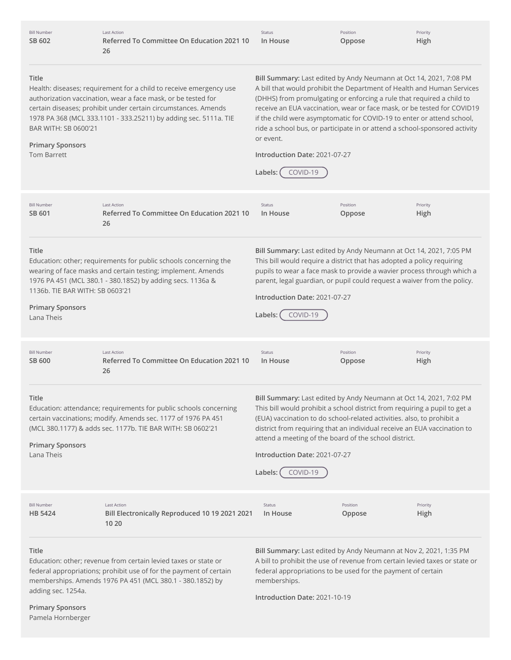| <b>Bill Number</b><br>SB 602                                                      | <b>Last Action</b><br>Referred To Committee On Education 2021 10<br>26                                                                                                                                                                                                    | Status<br>In House                                                                                                                                                                                                                                                                                                                                                                                                                                                                                                            | Position<br>Oppose | Priority<br>High |
|-----------------------------------------------------------------------------------|---------------------------------------------------------------------------------------------------------------------------------------------------------------------------------------------------------------------------------------------------------------------------|-------------------------------------------------------------------------------------------------------------------------------------------------------------------------------------------------------------------------------------------------------------------------------------------------------------------------------------------------------------------------------------------------------------------------------------------------------------------------------------------------------------------------------|--------------------|------------------|
| Title<br>BAR WITH: SB 0600'21<br><b>Primary Sponsors</b><br><b>Tom Barrett</b>    | Health: diseases; requirement for a child to receive emergency use<br>authorization vaccination, wear a face mask, or be tested for<br>certain diseases; prohibit under certain circumstances. Amends<br>1978 PA 368 (MCL 333.1101 - 333.25211) by adding sec. 5111a. TIE | Bill Summary: Last edited by Andy Neumann at Oct 14, 2021, 7:08 PM<br>A bill that would prohibit the Department of Health and Human Services<br>(DHHS) from promulgating or enforcing a rule that required a child to<br>receive an EUA vaccination, wear or face mask, or be tested for COVID19<br>if the child were asymptomatic for COVID-19 to enter or attend school,<br>ride a school bus, or participate in or attend a school-sponsored activity<br>or event.<br>Introduction Date: 2021-07-27<br>COVID-19<br>Labels: |                    |                  |
| <b>Bill Number</b><br>SB 601                                                      | <b>Last Action</b><br>Referred To Committee On Education 2021 10<br>26                                                                                                                                                                                                    | Status<br>In House                                                                                                                                                                                                                                                                                                                                                                                                                                                                                                            | Position<br>Oppose | Priority<br>High |
| Title<br>1136b. TIE BAR WITH: SB 0603'21<br><b>Primary Sponsors</b><br>Lana Theis | Education: other; requirements for public schools concerning the<br>wearing of face masks and certain testing; implement. Amends<br>1976 PA 451 (MCL 380.1 - 380.1852) by adding secs. 1136a &                                                                            | Bill Summary: Last edited by Andy Neumann at Oct 14, 2021, 7:05 PM<br>This bill would require a district that has adopted a policy requiring<br>pupils to wear a face mask to provide a wavier process through which a<br>parent, legal guardian, or pupil could request a waiver from the policy.<br>Introduction Date: 2021-07-27<br>Labels:<br>COVID-19                                                                                                                                                                    |                    |                  |
| <b>Bill Number</b><br>SB 600                                                      | <b>Last Action</b><br>Referred To Committee On Education 2021 10<br>26                                                                                                                                                                                                    | Status<br>In House                                                                                                                                                                                                                                                                                                                                                                                                                                                                                                            | Position<br>Oppose | Priority<br>High |
| <b>Title</b><br><b>Primary Sponsors</b><br>Lana Theis                             | Education: attendance; requirements for public schools concerning<br>certain vaccinations; modify. Amends sec. 1177 of 1976 PA 451<br>(MCL 380.1177) & adds sec. 1177b. TIE BAR WITH: SB 0602'21                                                                          | Bill Summary: Last edited by Andy Neumann at Oct 14, 2021, 7:02 PM<br>This bill would prohibit a school district from requiring a pupil to get a<br>(EUA) vaccination to do school-related activities. also, to prohibit a<br>district from requiring that an individual receive an EUA vaccination to<br>attend a meeting of the board of the school district.<br>Introduction Date: 2021-07-27<br>COVID-19<br>Labels:                                                                                                       |                    |                  |
| <b>Bill Number</b><br>HB 5424                                                     | <b>Last Action</b><br>Bill Electronically Reproduced 10 19 2021 2021<br>10 20                                                                                                                                                                                             | Status<br>In House                                                                                                                                                                                                                                                                                                                                                                                                                                                                                                            | Position<br>Oppose | Priority<br>High |
| Title<br>adding sec. 1254a.<br><b>Primary Sponsors</b><br>Pamela Hornberger       | Education: other; revenue from certain levied taxes or state or<br>federal appropriations; prohibit use of for the payment of certain<br>memberships. Amends 1976 PA 451 (MCL 380.1 - 380.1852) by                                                                        | Bill Summary: Last edited by Andy Neumann at Nov 2, 2021, 1:35 PM<br>A bill to prohibit the use of revenue from certain levied taxes or state or<br>federal appropriations to be used for the payment of certain<br>memberships.<br>Introduction Date: 2021-10-19                                                                                                                                                                                                                                                             |                    |                  |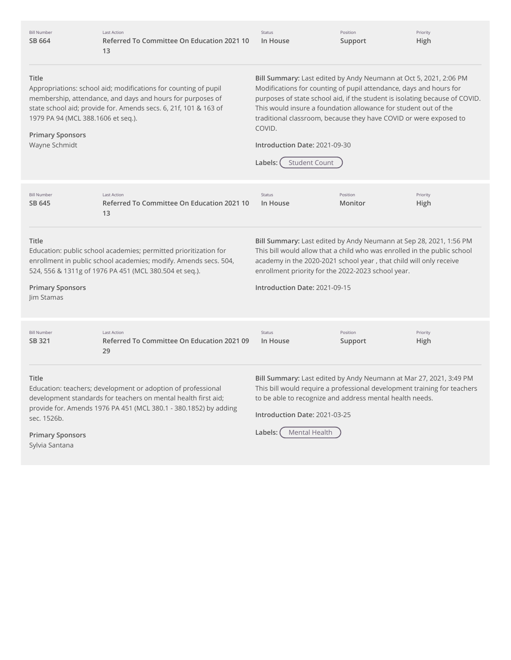| <b>Bill Number</b><br>SB 664                                                                                                                                                                                                                     | <b>Last Action</b><br>Referred To Committee On Education 2021 10<br>13                                                                                                                             | Status<br>In House                                                                                                                                                                                                                                                                                                                                                                                                                           | Position<br>Support | Priority<br>High |
|--------------------------------------------------------------------------------------------------------------------------------------------------------------------------------------------------------------------------------------------------|----------------------------------------------------------------------------------------------------------------------------------------------------------------------------------------------------|----------------------------------------------------------------------------------------------------------------------------------------------------------------------------------------------------------------------------------------------------------------------------------------------------------------------------------------------------------------------------------------------------------------------------------------------|---------------------|------------------|
| Title<br>1979 PA 94 (MCL 388.1606 et seq.).<br><b>Primary Sponsors</b><br>Wayne Schmidt                                                                                                                                                          | Appropriations: school aid; modifications for counting of pupil<br>membership, attendance, and days and hours for purposes of<br>state school aid; provide for. Amends secs. 6, 21f, 101 & 163 of  | Bill Summary: Last edited by Andy Neumann at Oct 5, 2021, 2:06 PM<br>Modifications for counting of pupil attendance, days and hours for<br>purposes of state school aid, if the student is isolating because of COVID.<br>This would insure a foundation allowance for student out of the<br>traditional classroom, because they have COVID or were exposed to<br>COVID.<br>Introduction Date: 2021-09-30<br><b>Student Count</b><br>Labels: |                     |                  |
| <b>Bill Number</b><br>SB 645                                                                                                                                                                                                                     | <b>Last Action</b><br>Referred To Committee On Education 2021 10<br>13                                                                                                                             | Status<br>In House                                                                                                                                                                                                                                                                                                                                                                                                                           | Position<br>Monitor | Priority<br>High |
| Title<br>Education: public school academies; permitted prioritization for<br>enrollment in public school academies; modify. Amends secs. 504,<br>524, 556 & 1311g of 1976 PA 451 (MCL 380.504 et seq.).<br><b>Primary Sponsors</b><br>Jim Stamas |                                                                                                                                                                                                    | Bill Summary: Last edited by Andy Neumann at Sep 28, 2021, 1:56 PM<br>This bill would allow that a child who was enrolled in the public school<br>academy in the 2020-2021 school year, that child will only receive<br>enrollment priority for the 2022-2023 school year.<br>Introduction Date: 2021-09-15                                                                                                                                  |                     |                  |
| <b>Bill Number</b><br>SB 321                                                                                                                                                                                                                     | <b>Last Action</b><br>Referred To Committee On Education 2021 09<br>29                                                                                                                             | Status<br>In House                                                                                                                                                                                                                                                                                                                                                                                                                           | Position<br>Support | Priority<br>High |
| Title<br>sec. 1526b.<br><b>Primary Sponsors</b>                                                                                                                                                                                                  | Education: teachers; development or adoption of professional<br>development standards for teachers on mental health first aid;<br>provide for. Amends 1976 PA 451 (MCL 380.1 - 380.1852) by adding | Bill Summary: Last edited by Andy Neumann at Mar 27, 2021, 3:49 PM<br>This bill would require a professional development training for teachers<br>to be able to recognize and address mental health needs.<br>Introduction Date: 2021-03-25<br>Mental Health<br>Labels:                                                                                                                                                                      |                     |                  |

Sylvia Santana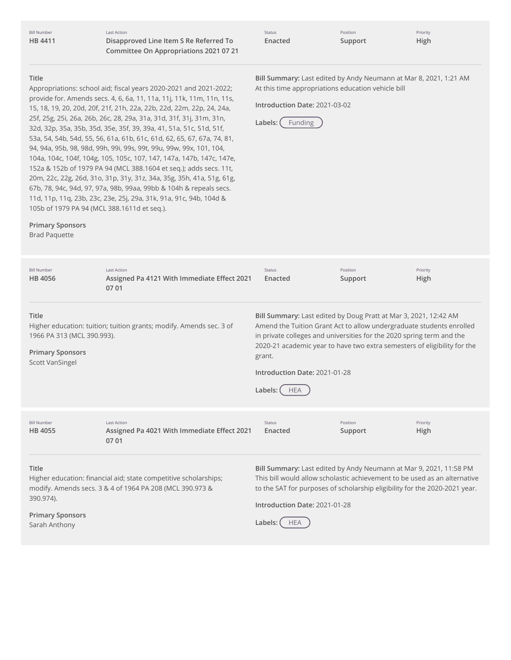Last Action **Disapproved Line Item S Re Referred To Committee On Appropriations 2021 07 21**

| <b>Status</b> | Position | Priority    |
|---------------|----------|-------------|
| Enacted       | Support  | <b>High</b> |

# **Title**

Appropriations: school aid; fiscal years 2020-2021 and 2021-2022; provide for. Amends secs. 4, 6, 6a, 11, 11a, 11j, 11k, 11m, 11n, 11s, 15, 18, 19, 20, 20d, 20f, 21f, 21h, 22a, 22b, 22d, 22m, 22p, 24, 24a, 25f, 25g, 25i, 26a, 26b, 26c, 28, 29a, 31a, 31d, 31f, 31j, 31m, 31n, 32d, 32p, 35a, 35b, 35d, 35e, 35f, 39, 39a, 41, 51a, 51c, 51d, 51f, 53a, 54, 54b, 54d, 55, 56, 61a, 61b, 61c, 61d, 62, 65, 67, 67a, 74, 81, 94, 94a, 95b, 98, 98d, 99h, 99i, 99s, 99t, 99u, 99w, 99x, 101, 104, 104a, 104c, 104f, 104g, 105, 105c, 107, 147, 147a, 147b, 147c, 147e, 152a & 152b of 1979 PA 94 (MCL 388.1604 et seq.); adds secs. 11t, 20m, 22c, 22g, 26d, 31o, 31p, 31y, 31z, 34a, 35g, 35h, 41a, 51g, 61g, 67b, 78, 94c, 94d, 97, 97a, 98b, 99aa, 99bb & 104h & repeals secs. 11d, 11p, 11q, 23b, 23c, 23e, 25j, 29a, 31k, 91a, 91c, 94b, 104d & 105b of 1979 PA 94 (MCL 388.1611d et seq.).

**Bill Summary:** Last edited by Andy Neumann at Mar 8, 2021, 1:21 AM At this time appropriations education vehicle bill

**Introduction Date:** 2021-03-02



| <b>Primary Sponsors</b><br><b>Brad Paquette</b>                                          |                                                                                                                              |                                                                                                                                                                                                                                                                                                                                                                   |                     |                         |
|------------------------------------------------------------------------------------------|------------------------------------------------------------------------------------------------------------------------------|-------------------------------------------------------------------------------------------------------------------------------------------------------------------------------------------------------------------------------------------------------------------------------------------------------------------------------------------------------------------|---------------------|-------------------------|
| <b>Bill Number</b><br>HB 4056                                                            | <b>Last Action</b><br>Assigned Pa 4121 With Immediate Effect 2021<br>07 01                                                   | <b>Status</b><br>Enacted                                                                                                                                                                                                                                                                                                                                          | Position<br>Support | Priority<br><b>High</b> |
| Title<br>1966 PA 313 (MCL 390.993).<br><b>Primary Sponsors</b><br><b>Scott VanSingel</b> | Higher education: tuition; tuition grants; modify. Amends sec. 3 of                                                          | Bill Summary: Last edited by Doug Pratt at Mar 3, 2021, 12:42 AM<br>Amend the Tuition Grant Act to allow undergraduate students enrolled<br>in private colleges and universities for the 2020 spring term and the<br>2020-21 academic year to have two extra semesters of eligibility for the<br>grant.<br>Introduction Date: 2021-01-28<br>Labels:<br><b>HEA</b> |                     |                         |
| <b>Bill Number</b><br>HB 4055                                                            | <b>Last Action</b><br>Assigned Pa 4021 With Immediate Effect 2021<br>07 01                                                   | <b>Status</b><br>Enacted                                                                                                                                                                                                                                                                                                                                          | Position<br>Support | Priority<br>High        |
| Title<br>390.974).                                                                       | Higher education: financial aid; state competitive scholarships;<br>modify. Amends secs. 3 & 4 of 1964 PA 208 (MCL 390.973 & | Bill Summary: Last edited by Andy Neumann at Mar 9, 2021, 11:58 PM<br>This bill would allow scholastic achievement to be used as an alternative<br>to the SAT for purposes of scholarship eligibility for the 2020-2021 year.<br>Introduction Date: 2021-01-28                                                                                                    |                     |                         |

**Primary Sponsors** Sarah Anthony

Labels: FEA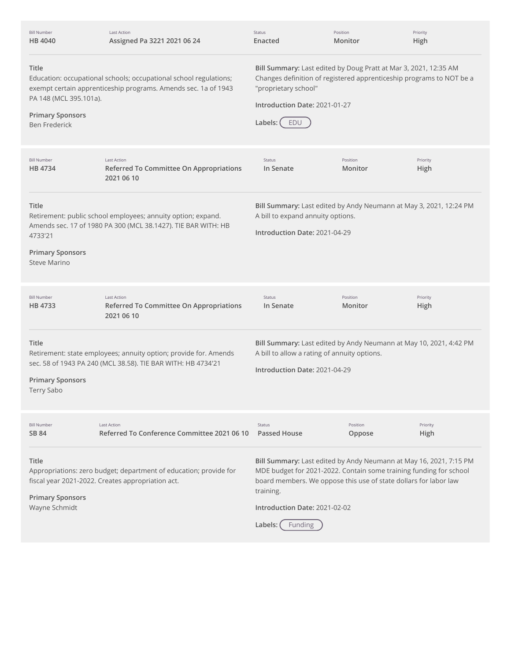| <b>Bill Number</b><br><b>HB 4040</b>                                               | Last Action<br>Assigned Pa 3221 2021 06 24                                                                                          | Status<br>Enacted                                                                                                                                                                                                   | Position<br>Monitor | Priority<br>High |
|------------------------------------------------------------------------------------|-------------------------------------------------------------------------------------------------------------------------------------|---------------------------------------------------------------------------------------------------------------------------------------------------------------------------------------------------------------------|---------------------|------------------|
| Title<br>PA 148 (MCL 395.101a).<br><b>Primary Sponsors</b><br><b>Ben Frederick</b> | Education: occupational schools; occupational school regulations;<br>exempt certain apprenticeship programs. Amends sec. 1a of 1943 | Bill Summary: Last edited by Doug Pratt at Mar 3, 2021, 12:35 AM<br>Changes definition of registered apprenticeship programs to NOT be a<br>"proprietary school"<br>Introduction Date: 2021-01-27<br>Labels:<br>EDU |                     |                  |
| <b>Bill Number</b><br>HB 4734                                                      | <b>Last Action</b><br>Referred To Committee On Appropriations<br>2021 06 10                                                         | Status<br>In Senate                                                                                                                                                                                                 | Position<br>Monitor | Priority<br>High |
| Title<br>4733'21<br><b>Primary Sponsors</b><br>Steve Marino                        | Retirement: public school employees; annuity option; expand.<br>Amends sec. 17 of 1980 PA 300 (MCL 38.1427). TIE BAR WITH: HB       | Bill Summary: Last edited by Andy Neumann at May 3, 2021, 12:24 PM<br>A bill to expand annuity options.<br>Introduction Date: 2021-04-29                                                                            |                     |                  |
|                                                                                    |                                                                                                                                     |                                                                                                                                                                                                                     |                     |                  |
| <b>Bill Number</b><br>HB 4733                                                      | <b>Last Action</b><br>Referred To Committee On Appropriations<br>2021 06 10                                                         | Status<br>In Senate                                                                                                                                                                                                 | Position<br>Monitor | Priority<br>High |
| Title<br><b>Primary Sponsors</b><br>Terry Sabo                                     | Retirement: state employees; annuity option; provide for. Amends<br>sec. 58 of 1943 PA 240 (MCL 38.58). TIE BAR WITH: HB 4734'21    | Bill Summary: Last edited by Andy Neumann at May 10, 2021, 4:42 PM<br>A bill to allow a rating of annuity options.<br>Introduction Date: 2021-04-29                                                                 |                     |                  |
| <b>Bill Number</b><br>SB 84                                                        | <b>Last Action</b><br>Referred To Conference Committee 2021 06 10                                                                   | Status<br><b>Passed House</b>                                                                                                                                                                                       | Position<br>Oppose  | Priority<br>High |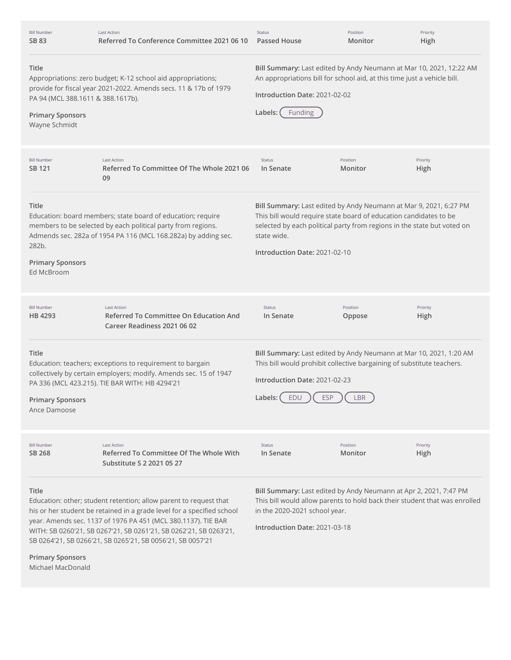| <b>Bill Number</b><br>SB 83                                                            | <b>Last Action</b><br>Referred To Conference Committee 2021 06 10                                                                                                                                            | Status<br><b>Passed House</b>                                                                                                                                                                                                                                     | Position<br>Monitor | Priority<br>High |
|----------------------------------------------------------------------------------------|--------------------------------------------------------------------------------------------------------------------------------------------------------------------------------------------------------------|-------------------------------------------------------------------------------------------------------------------------------------------------------------------------------------------------------------------------------------------------------------------|---------------------|------------------|
| Title<br>PA 94 (MCL 388.1611 & 388.1617b).<br><b>Primary Sponsors</b><br>Wayne Schmidt | Appropriations: zero budget; K-12 school aid appropriations;<br>provide for fiscal year 2021-2022. Amends secs. 11 & 17b of 1979                                                                             | Bill Summary: Last edited by Andy Neumann at Mar 10, 2021, 12:22 AM<br>An appropriations bill for school aid, at this time just a vehicle bill.<br>Introduction Date: 2021-02-02<br>Labels:<br><b>Funding</b>                                                     |                     |                  |
| <b>Bill Number</b><br>SB 121                                                           | <b>Last Action</b><br>Referred To Committee Of The Whole 2021 06<br>09                                                                                                                                       | Status<br>In Senate                                                                                                                                                                                                                                               | Position<br>Monitor | Priority<br>High |
| Title<br>282b.<br><b>Primary Sponsors</b><br>Ed McBroom                                | Education: board members; state board of education; require<br>members to be selected by each political party from regions.<br>Admends sec. 282a of 1954 PA 116 (MCL 168.282a) by adding sec.                | Bill Summary: Last edited by Andy Neumann at Mar 9, 2021, 6:27 PM<br>This bill would require state board of education candidates to be<br>selected by each political party from regions in the state but voted on<br>state wide.<br>Introduction Date: 2021-02-10 |                     |                  |
| <b>Bill Number</b><br>HB 4293                                                          | <b>Last Action</b><br><b>Referred To Committee On Education And</b><br>Career Readiness 2021 06 02                                                                                                           | Status<br>In Senate                                                                                                                                                                                                                                               | Position<br>Oppose  | Priority<br>High |
| Title<br><b>Primary Sponsors</b><br>Ance Damoose                                       | Education: teachers; exceptions to requirement to bargain<br>collectively by certain employers; modify. Amends sec. 15 of 1947<br>PA 336 (MCL 423.215). TIE BAR WITH: HB 4294'21                             | Bill Summary: Last edited by Andy Neumann at Mar 10, 2021, 1:20 AM<br>This bill would prohibit collective bargaining of substitute teachers.<br>Introduction Date: 2021-02-23<br>Labels: $($ EDU<br>ESP                                                           | LBR                 |                  |
| <b>Bill Number</b><br>SB 268                                                           | Last Action<br>Referred To Committee Of The Whole With<br>Substitute S 2 2021 05 27                                                                                                                          | Status<br>In Senate                                                                                                                                                                                                                                               | Position<br>Monitor | Priority<br>High |
| Title                                                                                  | Education: other; student retention; allow parent to request that<br>his or her student be retained in a grade level for a specified school<br>year. Amends sec. 1137 of 1976 PA 451 (MCL 380.1137). TIE BAR | Bill Summary: Last edited by Andy Neumann at Apr 2, 2021, 7:47 PM<br>This bill would allow parents to hold back their student that was enrolled<br>in the 2020-2021 school year.                                                                                  |                     |                  |

SB 0264'21, SB 0266'21, SB 0265'21, SB 0056'21, SB 0057'21 **Primary Sponsors**

WITH: SB 0260'21, SB 0267'21, SB 0261'21, SB 0262'21, SB 0263'21,

Michael MacDonald

**Introduction Date:** 2021-03-18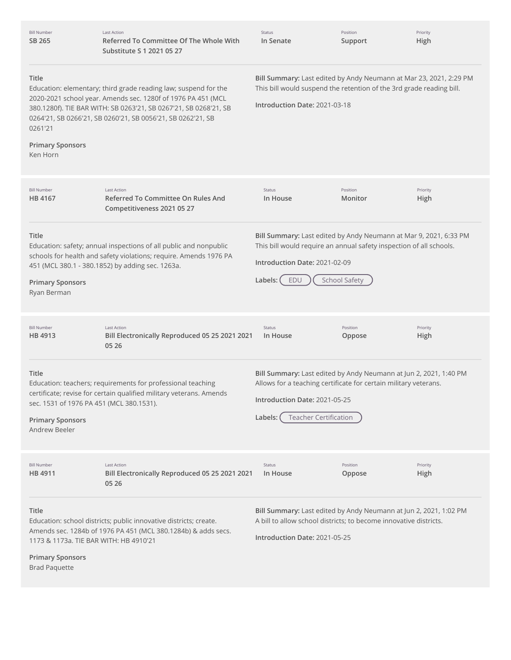| <b>Bill Number</b><br>SB 265                                                                       | <b>Last Action</b><br>Referred To Committee Of The Whole With<br>Substitute S 1 2021 05 27                                                                                                                                                                         | Status<br>In Senate                                                                                                                                                                                               | Position<br>Support  | Priority<br>High |
|----------------------------------------------------------------------------------------------------|--------------------------------------------------------------------------------------------------------------------------------------------------------------------------------------------------------------------------------------------------------------------|-------------------------------------------------------------------------------------------------------------------------------------------------------------------------------------------------------------------|----------------------|------------------|
| Title<br>0261'21<br><b>Primary Sponsors</b><br>Ken Horn                                            | Education: elementary; third grade reading law; suspend for the<br>2020-2021 school year. Amends sec. 1280f of 1976 PA 451 (MCL<br>380.1280f). TIE BAR WITH: SB 0263'21, SB 0267'21, SB 0268'21, SB<br>0264'21, SB 0266'21, SB 0260'21, SB 0056'21, SB 0262'21, SB | Bill Summary: Last edited by Andy Neumann at Mar 23, 2021, 2:29 PM<br>This bill would suspend the retention of the 3rd grade reading bill.<br>Introduction Date: 2021-03-18                                       |                      |                  |
| <b>Bill Number</b><br>HB 4167                                                                      | <b>Last Action</b><br>Referred To Committee On Rules And<br>Competitiveness 2021 05 27                                                                                                                                                                             | Status<br>In House                                                                                                                                                                                                | Position<br>Monitor  | Priority<br>High |
| Title<br><b>Primary Sponsors</b><br>Ryan Berman                                                    | Education: safety; annual inspections of all public and nonpublic<br>schools for health and safety violations; require. Amends 1976 PA<br>451 (MCL 380.1 - 380.1852) by adding sec. 1263a.                                                                         | Bill Summary: Last edited by Andy Neumann at Mar 9, 2021, 6:33 PM<br>This bill would require an annual safety inspection of all schools.<br>Introduction Date: 2021-02-09<br>EDU<br>Labels: (                     | <b>School Safety</b> |                  |
| <b>Bill Number</b><br>HB 4913                                                                      | <b>Last Action</b><br>Bill Electronically Reproduced 05 25 2021 2021<br>05 26                                                                                                                                                                                      | Status<br>In House                                                                                                                                                                                                | Position<br>Oppose   | Priority<br>High |
| Title<br>sec. 1531 of 1976 PA 451 (MCL 380.1531).<br><b>Primary Sponsors</b><br>Andrew Beeler      | Education: teachers; requirements for professional teaching<br>certificate; revise for certain qualified military veterans. Amends                                                                                                                                 | Bill Summary: Last edited by Andy Neumann at Jun 2, 2021, 1:40 PM<br>Allows for a teaching certificate for certain military veterans.<br>Introduction Date: 2021-05-25<br><b>Teacher Certification</b><br>Labels: |                      |                  |
| <b>Bill Number</b><br>HB 4911                                                                      | <b>Last Action</b><br>Bill Electronically Reproduced 05 25 2021 2021<br>05 26                                                                                                                                                                                      | Status<br>In House                                                                                                                                                                                                | Position<br>Oppose   | Priority<br>High |
| Title<br>1173 & 1173a. TIE BAR WITH: HB 4910'21<br><b>Primary Sponsors</b><br><b>Brad Paquette</b> | Education: school districts; public innovative districts; create.<br>Amends sec. 1284b of 1976 PA 451 (MCL 380.1284b) & adds secs.                                                                                                                                 | Bill Summary: Last edited by Andy Neumann at Jun 2, 2021, 1:02 PM<br>A bill to allow school districts; to become innovative districts.<br>Introduction Date: 2021-05-25                                           |                      |                  |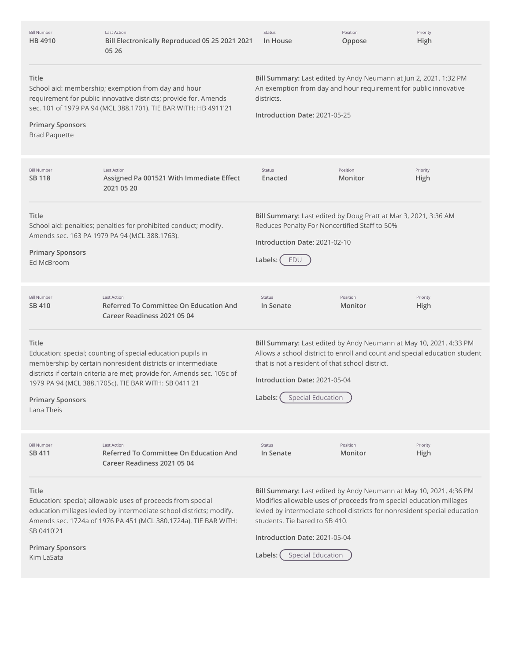| <b>Bill Number</b><br>HB 4910                                | <b>Last Action</b><br>Bill Electronically Reproduced 05 25 2021 2021<br>05 26                                                                                                                                                                                 | Status<br>In House                                                                                                                                                                                                                                                                                                               | Position<br>Oppose  | Priority<br>High |
|--------------------------------------------------------------|---------------------------------------------------------------------------------------------------------------------------------------------------------------------------------------------------------------------------------------------------------------|----------------------------------------------------------------------------------------------------------------------------------------------------------------------------------------------------------------------------------------------------------------------------------------------------------------------------------|---------------------|------------------|
| Title<br><b>Primary Sponsors</b><br><b>Brad Paquette</b>     | School aid: membership; exemption from day and hour<br>requirement for public innovative districts; provide for. Amends<br>sec. 101 of 1979 PA 94 (MCL 388.1701). TIE BAR WITH: HB 4911'21                                                                    | Bill Summary: Last edited by Andy Neumann at Jun 2, 2021, 1:32 PM<br>An exemption from day and hour requirement for public innovative<br>districts.<br>Introduction Date: 2021-05-25                                                                                                                                             |                     |                  |
| <b>Bill Number</b><br>SB 118                                 | <b>Last Action</b><br>Assigned Pa 001521 With Immediate Effect<br>2021 05 20                                                                                                                                                                                  | <b>Status</b><br>Enacted                                                                                                                                                                                                                                                                                                         | Position<br>Monitor | Priority<br>High |
| Title<br><b>Primary Sponsors</b><br>Ed McBroom               | School aid: penalties; penalties for prohibited conduct; modify.<br>Amends sec. 163 PA 1979 PA 94 (MCL 388.1763).                                                                                                                                             | Bill Summary: Last edited by Doug Pratt at Mar 3, 2021, 3:36 AM<br>Reduces Penalty For Noncertified Staff to 50%<br>Introduction Date: 2021-02-10<br>Labels:<br>EDU                                                                                                                                                              |                     |                  |
| <b>Bill Number</b><br>SB 410                                 | <b>Last Action</b><br><b>Referred To Committee On Education And</b><br>Career Readiness 2021 05 04                                                                                                                                                            | Status<br>In Senate                                                                                                                                                                                                                                                                                                              | Position<br>Monitor | Priority<br>High |
| Title<br><b>Primary Sponsors</b><br>Lana Theis               | Education: special; counting of special education pupils in<br>membership by certain nonresident districts or intermediate<br>districts if certain criteria are met; provide for. Amends sec. 105c of<br>1979 PA 94 (MCL 388.1705c). TIE BAR WITH: SB 0411'21 | Bill Summary: Last edited by Andy Neumann at May 10, 2021, 4:33 PM<br>Allows a school district to enroll and count and special education student<br>that is not a resident of that school district.<br>Introduction Date: 2021-05-04<br>Labels: (<br><b>Special Education</b>                                                    |                     |                  |
| <b>Bill Number</b><br>SB 411                                 | <b>Last Action</b><br>Referred To Committee On Education And<br>Career Readiness 2021 05 04                                                                                                                                                                   | Status<br>In Senate                                                                                                                                                                                                                                                                                                              | Position<br>Monitor | Priority<br>High |
| Title<br>SB 0410'21<br><b>Primary Sponsors</b><br>Kim LaSata | Education: special; allowable uses of proceeds from special<br>education millages levied by intermediate school districts; modify.<br>Amends sec. 1724a of 1976 PA 451 (MCL 380.1724a). TIE BAR WITH:                                                         | Bill Summary: Last edited by Andy Neumann at May 10, 2021, 4:36 PM<br>Modifies allowable uses of proceeds from special education millages<br>levied by intermediate school districts for nonresident special education<br>students. Tie bared to SB 410.<br>Introduction Date: 2021-05-04<br><b>Special Education</b><br>Labels: |                     |                  |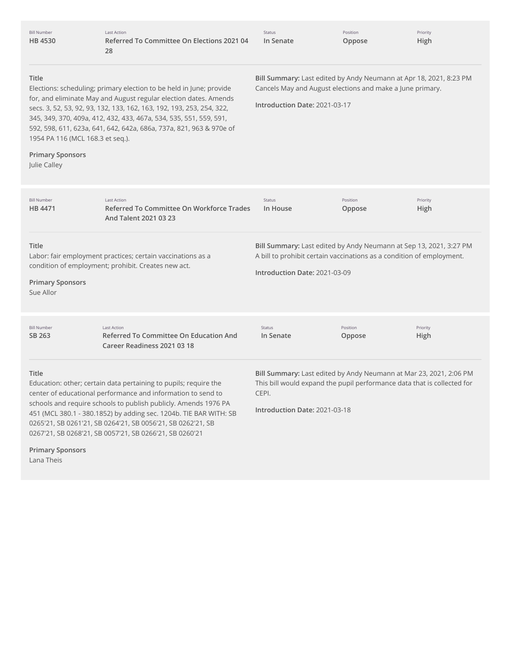| <b>Bill Number</b><br>HB 4530                                                        | <b>Last Action</b><br>Referred To Committee On Elections 2021 04<br>28                                                                                                                                                                                                                                                                                                                             | <b>Status</b><br>In Senate                                                                                                                                                              | Position<br>Oppose | Priority<br>High |
|--------------------------------------------------------------------------------------|----------------------------------------------------------------------------------------------------------------------------------------------------------------------------------------------------------------------------------------------------------------------------------------------------------------------------------------------------------------------------------------------------|-----------------------------------------------------------------------------------------------------------------------------------------------------------------------------------------|--------------------|------------------|
| Title<br>1954 PA 116 (MCL 168.3 et seg.).<br><b>Primary Sponsors</b><br>Julie Calley | Elections: scheduling; primary election to be held in June; provide<br>for, and eliminate May and August regular election dates. Amends<br>secs. 3, 52, 53, 92, 93, 132, 133, 162, 163, 192, 193, 253, 254, 322,<br>345, 349, 370, 409a, 412, 432, 433, 467a, 534, 535, 551, 559, 591,<br>592, 598, 611, 623a, 641, 642, 642a, 686a, 737a, 821, 963 & 970e of                                      | Bill Summary: Last edited by Andy Neumann at Apr 18, 2021, 8:23 PM<br>Cancels May and August elections and make a June primary.<br>Introduction Date: 2021-03-17                        |                    |                  |
| <b>Bill Number</b><br>HB 4471                                                        | <b>Last Action</b><br>Referred To Committee On Workforce Trades<br>And Talent 2021 03 23                                                                                                                                                                                                                                                                                                           | Status<br>In House                                                                                                                                                                      | Position<br>Oppose | Priority<br>High |
| Title<br><b>Primary Sponsors</b><br>Sue Allor                                        | Bill Summary: Last edited by Andy Neumann at Sep 13, 2021, 3:27 PM<br>Labor: fair employment practices; certain vaccinations as a<br>A bill to prohibit certain vaccinations as a condition of employment.<br>condition of employment; prohibit. Creates new act.<br>Introduction Date: 2021-03-09                                                                                                 |                                                                                                                                                                                         |                    |                  |
| <b>Bill Number</b><br>SB 263                                                         | <b>Last Action</b><br><b>Referred To Committee On Education And</b><br>Career Readiness 2021 03 18                                                                                                                                                                                                                                                                                                 | Status<br>In Senate                                                                                                                                                                     | Position<br>Oppose | Priority<br>High |
| Title                                                                                | Education: other; certain data pertaining to pupils; require the<br>center of educational performance and information to send to<br>schools and require schools to publish publicly. Amends 1976 PA<br>451 (MCL 380.1 - 380.1852) by adding sec. 1204b. TIE BAR WITH: SB<br>0265'21, SB 0261'21, SB 0264'21, SB 0056'21, SB 0262'21, SB<br>0267'21, SB 0268'21, SB 0057'21, SB 0266'21, SB 0260'21 | Bill Summary: Last edited by Andy Neumann at Mar 23, 2021, 2:06 PM<br>This bill would expand the pupil performance data that is collected for<br>CEPI.<br>Introduction Date: 2021-03-18 |                    |                  |

**Primary Sponsors** Lana Theis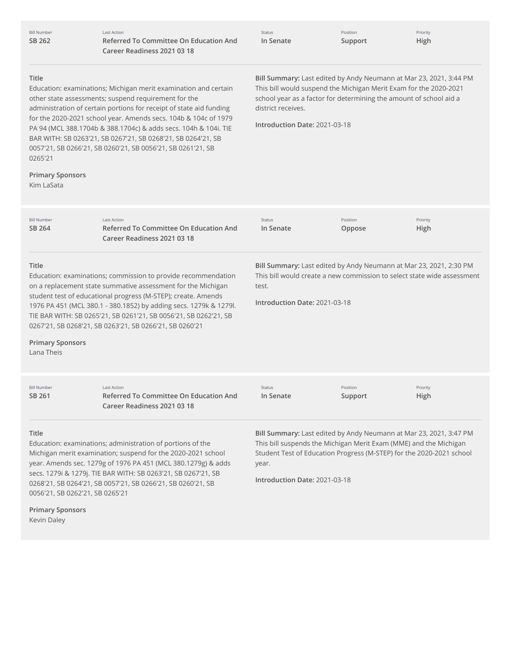| <b>Bill Number</b><br>SB 262                              | <b>Last Action</b><br>Referred To Committee On Education And<br>Career Readiness 2021 03 18                                                                                                                                                                                                                                                                                                                                                                         | Status<br>In Senate                                                                                                                                                                                                                                                  | Position<br>Support | Priority<br>High                                                                                                                           |
|-----------------------------------------------------------|---------------------------------------------------------------------------------------------------------------------------------------------------------------------------------------------------------------------------------------------------------------------------------------------------------------------------------------------------------------------------------------------------------------------------------------------------------------------|----------------------------------------------------------------------------------------------------------------------------------------------------------------------------------------------------------------------------------------------------------------------|---------------------|--------------------------------------------------------------------------------------------------------------------------------------------|
| Title<br>0265'21<br><b>Primary Sponsors</b><br>Kim LaSata | Education: examinations; Michigan merit examination and certain<br>other state assessments; suspend requirement for the<br>administration of certain portions for receipt of state aid funding<br>for the 2020-2021 school year. Amends secs. 104b & 104c of 1979<br>PA 94 (MCL 388.1704b & 388.1704c) & adds secs. 104h & 104i. TIE<br>BAR WITH: SB 0263'21, SB 0267'21, SB 0268'21, SB 0264'21, SB<br>0057'21, SB 0266'21, SB 0260'21, SB 0056'21, SB 0261'21, SB | Bill Summary: Last edited by Andy Neumann at Mar 23, 2021, 3:44 PM<br>This bill would suspend the Michigan Merit Exam for the 2020-2021<br>school year as a factor for determining the amount of school aid a<br>district receives.<br>Introduction Date: 2021-03-18 |                     |                                                                                                                                            |
| <b>Bill Number</b><br>SB 264                              | <b>Last Action</b><br>Referred To Committee On Education And<br>Career Readiness 2021 03 18                                                                                                                                                                                                                                                                                                                                                                         | Status<br>In Senate                                                                                                                                                                                                                                                  | Position<br>Oppose  | Priority<br>High                                                                                                                           |
| Title<br><b>Primary Sponsors</b><br>Lana Theis            | Education: examinations; commission to provide recommendation<br>on a replacement state summative assessment for the Michigan<br>student test of educational progress (M-STEP); create. Amends<br>1976 PA 451 (MCL 380.1 - 380.1852) by adding secs. 1279k & 1279l.<br>TIE BAR WITH: SB 0265'21, SB 0261'21, SB 0056'21, SB 0262'21, SB<br>0267'21, SB 0268'21, SB 0263'21, SB 0266'21, SB 0260'21                                                                  | Bill Summary: Last edited by Andy Neumann at Mar 23, 2021, 2:30 PM<br>This bill would create a new commission to select state wide assessment<br>test.<br>Introduction Date: 2021-03-18                                                                              |                     |                                                                                                                                            |
| <b>Bill Number</b><br>SB 261                              | <b>Last Action</b><br><b>Referred To Committee On Education And</b><br>Career Readiness 2021 03 18                                                                                                                                                                                                                                                                                                                                                                  | Status<br>In Senate                                                                                                                                                                                                                                                  | Position<br>Support | Priority<br>High                                                                                                                           |
| Title<br>0056'21, SB 0262'21, SB 0265'21                  | Education: examinations; administration of portions of the<br>Michigan merit examination; suspend for the 2020-2021 school<br>year. Amends sec. 1279g of 1976 PA 451 (MCL 380.1279g) & adds<br>secs. 1279i & 1279j. TIE BAR WITH: SB 0263'21, SB 0267'21, SB<br>0268'21, SB 0264'21, SB 0057'21, SB 0266'21, SB 0260'21, SB                                                                                                                                         | This bill suspends the Michigan Merit Exam (MME) and the Michigan<br>year.<br>Introduction Date: 2021-03-18                                                                                                                                                          |                     | Bill Summary: Last edited by Andy Neumann at Mar 23, 2021, 3:47 PM<br>Student Test of Education Progress (M-STEP) for the 2020-2021 school |
| <b>Primary Sponsors</b>                                   |                                                                                                                                                                                                                                                                                                                                                                                                                                                                     |                                                                                                                                                                                                                                                                      |                     |                                                                                                                                            |

Kevin Daley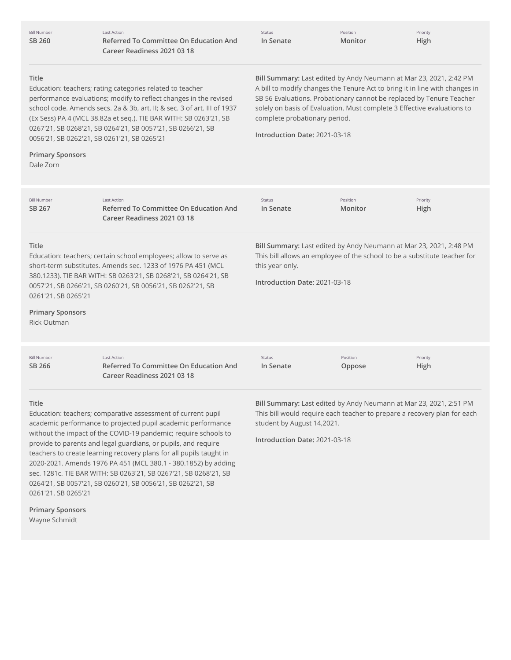| <b>Bill Number</b> |
|--------------------|
| SB 260             |

Last Action **Referred To Committee On Education And Career Readiness 2021 03 18**

| Status |           |  |
|--------|-----------|--|
|        | In Senate |  |

Position **Monitor**

Priority **High**

# **Title**

Education: teachers; rating categories related to teacher performance evaluations; modify to reflect changes in the revised school code. Amends secs. 2a & 3b, art. II; & sec. 3 of art. III of 1937 (Ex Sess) PA 4 (MCL 38.82a et seq.). TIE BAR WITH: SB 0263'21, SB 0267'21, SB 0268'21, SB 0264'21, SB 0057'21, SB 0266'21, SB 0056'21, SB 0262'21, SB 0261'21, SB 0265'21

**Bill Summary:** Last edited by Andy Neumann at Mar 23, 2021, 2:42 PM A bill to modify changes the Tenure Act to bring it in line with changes in SB 56 Evaluations. Probationary cannot be replaced by Tenure Teacher solely on basis of Evaluation. Must complete 3 Effective evaluations to complete probationary period.

**Introduction Date:** 2021-03-18

# **Primary Sponsors**

Dale Zorn

| Last Action<br><b>Referred To Committee On Education And</b><br>Career Readiness 2021 03 18                                                                                                                                                                                                                                                         | <b>Status</b><br>In Senate | Position<br>Monitor                                                                                                                                                                                 | Priority<br>High                                                   |  |
|-----------------------------------------------------------------------------------------------------------------------------------------------------------------------------------------------------------------------------------------------------------------------------------------------------------------------------------------------------|----------------------------|-----------------------------------------------------------------------------------------------------------------------------------------------------------------------------------------------------|--------------------------------------------------------------------|--|
| <b>Title</b><br>Education: teachers; certain school employees; allow to serve as<br>short-term substitutes. Amends sec. 1233 of 1976 PA 451 (MCL<br>380.1233). TIE BAR WITH: SB 0263'21, SB 0268'21, SB 0264'21, SB<br>0057'21, SB 0266'21, SB 0260'21, SB 0056'21, SB 0262'21, SB<br>0261'21, SB 0265'21<br><b>Primary Sponsors</b><br>Rick Outman |                            | Bill Summary: Last edited by Andy Neumann at Mar 23, 2021, 2:48 PM<br>This bill allows an employee of the school to be a substitute teacher for<br>this year only.<br>Introduction Date: 2021-03-18 |                                                                    |  |
| <b>Last Action</b><br>Referred To Committee On Education And<br>Career Readiness 2021 03 18                                                                                                                                                                                                                                                         | <b>Status</b><br>In Senate | Position<br>Oppose                                                                                                                                                                                  | Priority<br>High                                                   |  |
|                                                                                                                                                                                                                                                                                                                                                     |                            |                                                                                                                                                                                                     | Bill Summary: Last edited by Andy Neumann at Mar 23, 2021, 2:51 PM |  |

#### **Title**

Education: teachers; comparative assessment of current pupil academic performance to projected pupil academic performance without the impact of the COVID-19 pandemic; require schools to provide to parents and legal guardians, or pupils, and require teachers to create learning recovery plans for all pupils taught in 2020-2021. Amends 1976 PA 451 (MCL 380.1 - 380.1852) by adding sec. 1281c. TIE BAR WITH: SB 0263'21, SB 0267'21, SB 0268'21, SB 0264'21, SB 0057'21, SB 0260'21, SB 0056'21, SB 0262'21, SB 0261'21, SB 0265'21

This bill would require each teacher to prepare a recovery plan for each student by August 14,2021.

**Introduction Date:** 2021-03-18

**Primary Sponsors** Wayne Schmidt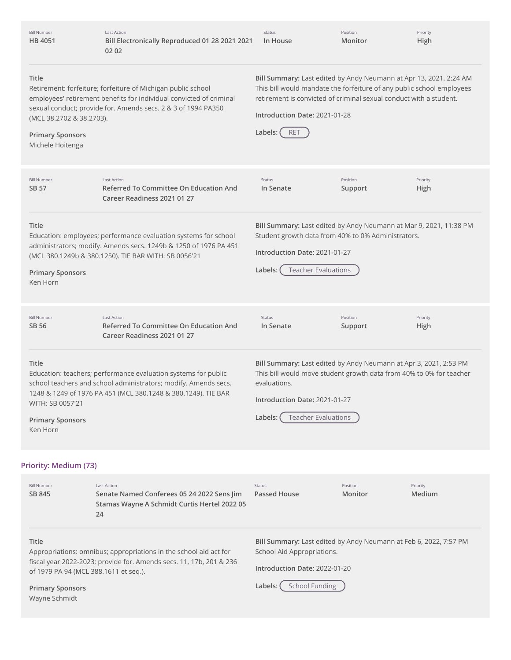| <b>Bill Number</b><br>HB 4051                                                           | <b>Last Action</b><br>Bill Electronically Reproduced 01 28 2021 2021<br>02 02                                                                                                                        | Status<br>In House                                       | Position<br>Monitor                                                              | Priority<br>High                                                                                                                            |
|-----------------------------------------------------------------------------------------|------------------------------------------------------------------------------------------------------------------------------------------------------------------------------------------------------|----------------------------------------------------------|----------------------------------------------------------------------------------|---------------------------------------------------------------------------------------------------------------------------------------------|
| <b>Title</b><br>(MCL 38.2702 & 38.2703).<br><b>Primary Sponsors</b><br>Michele Hoitenga | Retirement: forfeiture; forfeiture of Michigan public school<br>employees' retirement benefits for individual convicted of criminal<br>sexual conduct; provide for. Amends secs. 2 & 3 of 1994 PA350 | Introduction Date: 2021-01-28<br>Labels:<br><b>RET</b>   | retirement is convicted of criminal sexual conduct with a student.               | Bill Summary: Last edited by Andy Neumann at Apr 13, 2021, 2:24 AM<br>This bill would mandate the forfeiture of any public school employees |
| <b>Bill Number</b><br>SB 57                                                             | <b>Last Action</b><br>Referred To Committee On Education And<br>Career Readiness 2021 01 27                                                                                                          | <b>Status</b><br>In Senate                               | Position<br>Support                                                              | Priority<br>High                                                                                                                            |
| Title<br><b>Primary Sponsors</b><br>Ken Horn                                            | Education: employees; performance evaluation systems for school<br>administrators; modify. Amends secs. 1249b & 1250 of 1976 PA 451<br>(MCL 380.1249b & 380.1250). TIE BAR WITH: SB 0056'21          | Introduction Date: 2021-01-27<br>Labels:                 | Student growth data from 40% to 0% Administrators.<br><b>Teacher Evaluations</b> | Bill Summary: Last edited by Andy Neumann at Mar 9, 2021, 11:38 PM                                                                          |
| <b>Bill Number</b><br>SB 56                                                             | <b>Last Action</b><br><b>Referred To Committee On Education And</b><br>Career Readiness 2021 01 27                                                                                                   | Status<br>In Senate                                      | Position<br>Support                                                              | Priority<br>High                                                                                                                            |
| <b>Title</b><br>WITH: SB 0057'21<br><b>Primary Sponsors</b><br>Ken Horn                 | Education: teachers; performance evaluation systems for public<br>school teachers and school administrators; modify. Amends secs.<br>1248 & 1249 of 1976 PA 451 (MCL 380.1248 & 380.1249). TIE BAR   | evaluations.<br>Introduction Date: 2021-01-27<br>Labels: | <b>Teacher Evaluations</b>                                                       | Bill Summary: Last edited by Andy Neumann at Apr 3, 2021, 2:53 PM<br>This bill would move student growth data from 40% to 0% for teacher    |
| Priority: Medium (73)                                                                   |                                                                                                                                                                                                      |                                                          |                                                                                  |                                                                                                                                             |
| <b>Bill Number</b><br>SB 845                                                            | <b>Last Action</b><br>Senate Named Conferees 05 24 2022 Sens Jim<br>Stamas Wayne A Schmidt Curtis Hertel 2022 05<br>24                                                                               | <b>Status</b><br><b>Passed House</b>                     | Position<br>Monitor                                                              | Priority<br>Medium                                                                                                                          |
| <b>Title</b>                                                                            | Appropriations: omnibus; appropriations in the school aid act for                                                                                                                                    | School Aid Appropriations.                               |                                                                                  | Bill Summary: Last edited by Andy Neumann at Feb 6, 2022, 7:57 PM                                                                           |

fiscal year 2022-2023; provide for. Amends secs. 11, 17b, 201 & 236 **Introduction Date:** 2022-01-20

**Primary Sponsors** Wayne Schmidt

of 1979 PA 94 (MCL 388.1611 et seq.).

Labels: (School Funding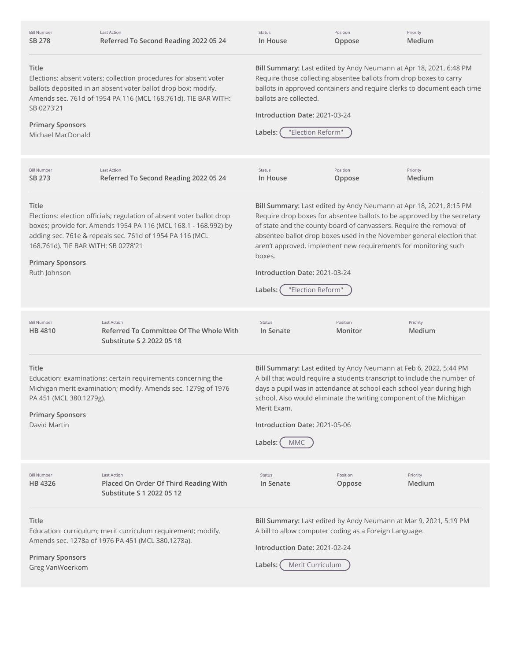| <b>Bill Number</b><br>SB 278                                                                                                                                                                                                                                              | <b>Last Action</b><br>Referred To Second Reading 2022 05 24                                                                                                                                          | Status<br>In House                                                                                                                                                                                                                                                                                                                                                                                                                            | Position<br>Oppose                                                                                                                                                                                                                                                                           | Priority<br>Medium |
|---------------------------------------------------------------------------------------------------------------------------------------------------------------------------------------------------------------------------------------------------------------------------|------------------------------------------------------------------------------------------------------------------------------------------------------------------------------------------------------|-----------------------------------------------------------------------------------------------------------------------------------------------------------------------------------------------------------------------------------------------------------------------------------------------------------------------------------------------------------------------------------------------------------------------------------------------|----------------------------------------------------------------------------------------------------------------------------------------------------------------------------------------------------------------------------------------------------------------------------------------------|--------------------|
| Title<br>Elections: absent voters; collection procedures for absent voter<br>ballots deposited in an absent voter ballot drop box; modify.<br>Amends sec. 761d of 1954 PA 116 (MCL 168.761d). TIE BAR WITH:<br>SB 0273'21<br><b>Primary Sponsors</b><br>Michael MacDonald |                                                                                                                                                                                                      | Bill Summary: Last edited by Andy Neumann at Apr 18, 2021, 6:48 PM<br>Require those collecting absentee ballots from drop boxes to carry<br>ballots in approved containers and require clerks to document each time<br>ballots are collected.<br>Introduction Date: 2021-03-24<br>"Election Reform"<br>Labels:                                                                                                                                |                                                                                                                                                                                                                                                                                              |                    |
| <b>Bill Number</b><br>SB 273                                                                                                                                                                                                                                              | <b>Last Action</b><br>Referred To Second Reading 2022 05 24                                                                                                                                          | Status<br>In House                                                                                                                                                                                                                                                                                                                                                                                                                            | Position<br>Oppose                                                                                                                                                                                                                                                                           | Priority<br>Medium |
| Title<br>168.761d). TIE BAR WITH: SB 0278'21<br><b>Primary Sponsors</b><br>Ruth Johnson                                                                                                                                                                                   | Elections: election officials; regulation of absent voter ballot drop<br>boxes; provide for. Amends 1954 PA 116 (MCL 168.1 - 168.992) by<br>adding sec. 761e & repeals sec. 761d of 1954 PA 116 (MCL | Bill Summary: Last edited by Andy Neumann at Apr 18, 2021, 8:15 PM<br>Require drop boxes for absentee ballots to be approved by the secretary<br>of state and the county board of canvassers. Require the removal of<br>absentee ballot drop boxes used in the November general election that<br>aren't approved. Implement new requirements for monitoring such<br>boxes.<br>Introduction Date: 2021-03-24<br>"Election Reform"<br>Labels: ( |                                                                                                                                                                                                                                                                                              |                    |
| <b>Bill Number</b><br>HB 4810                                                                                                                                                                                                                                             | <b>Last Action</b><br>Referred To Committee Of The Whole With<br>Substitute S 2 2022 05 18                                                                                                           | Status<br>In Senate                                                                                                                                                                                                                                                                                                                                                                                                                           | Position<br>Monitor                                                                                                                                                                                                                                                                          | Priority<br>Medium |
| Title<br>Education: examinations; certain requirements concerning the<br>Michigan merit examination; modify. Amends sec. 1279g of 1976<br>PA 451 (MCL 380.1279g).<br>Merit Exam.<br><b>Primary Sponsors</b><br>David Martin<br>Labels:<br><b>MMC</b>                      |                                                                                                                                                                                                      | Introduction Date: 2021-05-06                                                                                                                                                                                                                                                                                                                                                                                                                 | Bill Summary: Last edited by Andy Neumann at Feb 6, 2022, 5:44 PM<br>A bill that would require a students transcript to include the number of<br>days a pupil was in attendance at school each school year during high<br>school. Also would eliminate the writing component of the Michigan |                    |
| <b>Bill Number</b><br>HB 4326                                                                                                                                                                                                                                             | <b>Last Action</b><br>Placed On Order Of Third Reading With<br>Substitute S 1 2022 05 12                                                                                                             | Status<br>In Senate                                                                                                                                                                                                                                                                                                                                                                                                                           | Position<br>Oppose                                                                                                                                                                                                                                                                           | Priority<br>Medium |

# **Title**

Education: curriculum; merit curriculum requirement; modify. Amends sec. 1278a of 1976 PA 451 (MCL 380.1278a).

**Primary Sponsors** Greg VanWoerkom

**Bill Summary:** Last edited by Andy Neumann at Mar 9, 2021, 5:19 PM A bill to allow computer coding as a Foreign Language.

**Introduction Date:** 2021-02-24

**Labels:** Merit Curriculum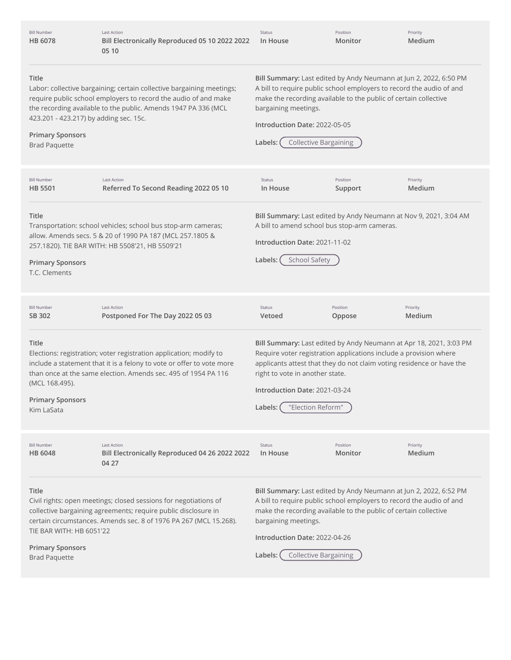**Title** Labor: collective bargaining; certain collective bargaining meetings; require public school employers to record the audio of and make the recording available to the public. Amends 1947 PA 336 (MCL 423.201 - 423.217) by adding sec. 15c. **Primary Sponsors** Brad Paquette **Bill Summary:** Last edited by Andy Neumann at Jun 2, 2022, 6:50 PM A bill to require public school employers to record the audio of and make the recording available to the public of certain collective bargaining meetings. **Introduction Date:** 2022-05-05 **Labels:** Collective Bargaining **Title** Transportation: school vehicles; school bus stop-arm cameras; allow. Amends secs. 5 & 20 of 1990 PA 187 (MCL 257.1805 & 257.1820). TIE BAR WITH: HB 5508'21, HB 5509'21 **Primary Sponsors** T.C. Clements **Bill Summary:** Last edited by Andy Neumann at Nov 9, 2021, 3:04 AM A bill to amend school bus stop-arm cameras. **Introduction Date:** 2021-11-02 Labels: C School Safety **Title** Elections: registration; voter registration application; modify to include a statement that it is a felony to vote or offer to vote more than once at the same election. Amends sec. 495 of 1954 PA 116 (MCL 168.495). **Primary Sponsors** Kim LaSata **Bill Summary:** Last edited by Andy Neumann at Apr 18, 2021, 3:03 PM Require voter registration applications include a provision where applicants attest that they do not claim voting residence or have the right to vote in another state. **Introduction Date:** 2021-03-24 **Labels:** "Election Reform" **Title** Civil rights: open meetings; closed sessions for negotiations of collective bargaining agreements; require public disclosure in certain circumstances. Amends sec. 8 of 1976 PA 267 (MCL 15.268). TIE BAR WITH: HB 6051'22 **Primary Sponsors** Brad Paquette **Bill Summary:** Last edited by Andy Neumann at Jun 2, 2022, 6:52 PM A bill to require public school employers to record the audio of and make the recording available to the public of certain collective bargaining meetings. **Introduction Date:** 2022-04-26 **Labels:** Collective Bargaining Bill Number **HB [6078](http://app.fiscalnote.com/share/bill?url=fab27edea54ed03619132ad55cf8d30f)** Last Action **Bill Electronically Reproduced 05 10 2022 2022 05 10** Status **In House** Position **Monitor** Priority **Medium** Bill Number **HB [5501](http://app.fiscalnote.com/share/bill?url=c276009825972dd2f659e5442878d905)** Last Action **Referred To Second Reading 2022 05 10** Status **In House** Position **Support** Priority **Medium** Bill Number **SB [302](http://app.fiscalnote.com/share/bill?url=8eed0bd72c2e6492554d14dc0e8f020a)** Last Action **Postponed For The Day 2022 05 03** Status **Vetoed** Position **Oppose Priority Medium** Bill Number **HB [6048](http://app.fiscalnote.com/share/bill?url=beab64893010fcf535385f2a4fefca5e)** Last Action **Bill Electronically Reproduced 04 26 2022 2022 04 27** Status **In House** Position **Monitor** Priority **Medium**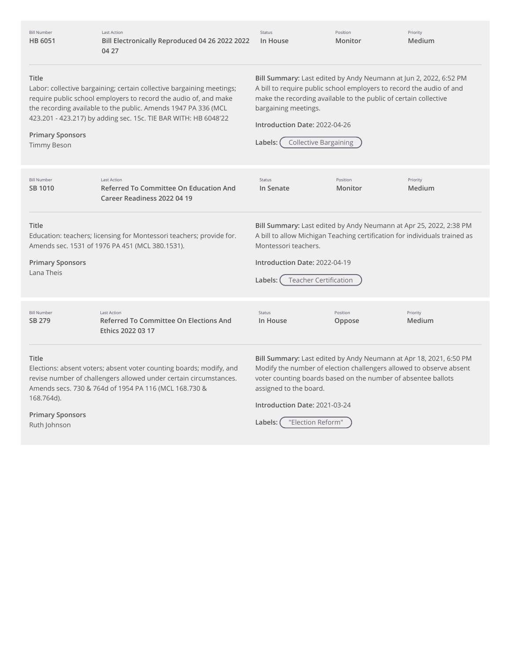Bill Number **HB [6051](http://app.fiscalnote.com/share/bill?url=6378f6e3d22246f6caa08c6992ef4076)** Last Action **Bill Electronically Reproduced 04 26 2022 2022 In House 04 27**

Status

Position **Monitor**

Priority **Medium**

## **Title**

**Primary Sponsors** Timmy Beson

Labor: collective bargaining; certain collective bargaining meetings; require public school employers to record the audio of, and make the recording available to the public. Amends 1947 PA 336 (MCL 423.201 - 423.217) by adding sec. 15c. TIE BAR WITH: HB 6048'22

**Bill Summary:** Last edited by Andy Neumann at Jun 2, 2022, 6:52 PM A bill to require public school employers to record the audio of and make the recording available to the public of certain collective bargaining meetings.

| Introduction Date: 2022-04-26 |  |
|-------------------------------|--|
|                               |  |

| Labels: ( |  | <b>Collective Bargaining</b> |
|-----------|--|------------------------------|
|-----------|--|------------------------------|

| <b>Bill Number</b><br>SB 1010                                                                                                                                                                                            | Last Action<br>Referred To Committee On Education And<br>Career Readiness 2022 04 19                                    | Status<br>In Senate                                                                                                                                                                                                                                                   | Position<br>Monitor | Priority<br>Medium |
|--------------------------------------------------------------------------------------------------------------------------------------------------------------------------------------------------------------------------|-------------------------------------------------------------------------------------------------------------------------|-----------------------------------------------------------------------------------------------------------------------------------------------------------------------------------------------------------------------------------------------------------------------|---------------------|--------------------|
| Title<br><b>Primary Sponsors</b><br>Lana Theis                                                                                                                                                                           | Education: teachers; licensing for Montessori teachers; provide for.<br>Amends sec. 1531 of 1976 PA 451 (MCL 380.1531). | Bill Summary: Last edited by Andy Neumann at Apr 25, 2022, 2:38 PM<br>A bill to allow Michigan Teaching certification for individuals trained as<br>Montessori teachers.<br>Introduction Date: 2022-04-19<br><b>Teacher Certification</b><br>Labels:                  |                     |                    |
| <b>Bill Number</b><br>SB 279                                                                                                                                                                                             | <b>Last Action</b><br>Referred To Committee On Elections And<br>Ethics 2022 03 17                                       | <b>Status</b><br>In House                                                                                                                                                                                                                                             | Position<br>Oppose  | Priority<br>Medium |
| Title<br>Elections: absent voters; absent voter counting boards; modify, and<br>revise number of challengers allowed under certain circumstances.<br>Amends secs. 730 & 764d of 1954 PA 116 (MCL 168.730 &<br>168.764d). |                                                                                                                         | Bill Summary: Last edited by Andy Neumann at Apr 18, 2021, 6:50 PM<br>Modify the number of election challengers allowed to observe absent<br>voter counting boards based on the number of absentee ballots<br>assigned to the board.<br>Introduction Date: 2021-03-24 |                     |                    |
| <b>Primary Sponsors</b><br>"Election Reform"<br>Labels:<br>Ruth Johnson                                                                                                                                                  |                                                                                                                         |                                                                                                                                                                                                                                                                       |                     |                    |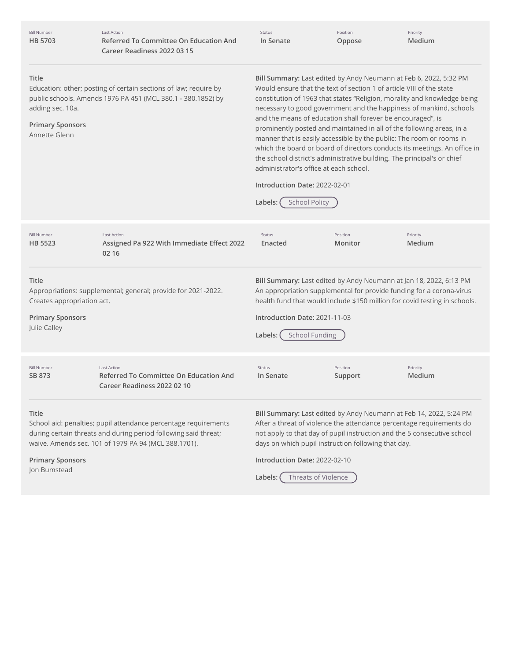| <b>Bill Number</b><br><b>HB 5703</b>                                                                                                                                                                      | <b>Last Action</b><br><b>Referred To Committee On Education And</b><br>Career Readiness 2022 03 15                                                                                                                                                                                                                                                                                           | Status<br>In Senate                                                                                                                                                                                                                                                                                                                                                                                                                                                                                                                                                                                                                                                                                                                                                               | Position<br>Oppose  | Priority<br>Medium                                                                                                                                                                                                    |
|-----------------------------------------------------------------------------------------------------------------------------------------------------------------------------------------------------------|----------------------------------------------------------------------------------------------------------------------------------------------------------------------------------------------------------------------------------------------------------------------------------------------------------------------------------------------------------------------------------------------|-----------------------------------------------------------------------------------------------------------------------------------------------------------------------------------------------------------------------------------------------------------------------------------------------------------------------------------------------------------------------------------------------------------------------------------------------------------------------------------------------------------------------------------------------------------------------------------------------------------------------------------------------------------------------------------------------------------------------------------------------------------------------------------|---------------------|-----------------------------------------------------------------------------------------------------------------------------------------------------------------------------------------------------------------------|
| Title<br>Education: other; posting of certain sections of law; require by<br>public schools. Amends 1976 PA 451 (MCL 380.1 - 380.1852) by<br>adding sec. 10a.<br><b>Primary Sponsors</b><br>Annette Glenn |                                                                                                                                                                                                                                                                                                                                                                                              | Bill Summary: Last edited by Andy Neumann at Feb 6, 2022, 5:32 PM<br>Would ensure that the text of section 1 of article VIII of the state<br>constitution of 1963 that states "Religion, morality and knowledge being<br>necessary to good government and the happiness of mankind, schools<br>and the means of education shall forever be encouraged", is<br>prominently posted and maintained in all of the following areas, in a<br>manner that is easily accessible by the public: The room or rooms in<br>which the board or board of directors conducts its meetings. An office in<br>the school district's administrative building. The principal's or chief<br>administrator's office at each school.<br>Introduction Date: 2022-02-01<br>Labels:<br><b>School Policy</b> |                     |                                                                                                                                                                                                                       |
| <b>Bill Number</b><br><b>HB 5523</b>                                                                                                                                                                      | <b>Last Action</b><br>Assigned Pa 922 With Immediate Effect 2022<br>02 16                                                                                                                                                                                                                                                                                                                    | Status<br>Enacted                                                                                                                                                                                                                                                                                                                                                                                                                                                                                                                                                                                                                                                                                                                                                                 | Position<br>Monitor | Priority<br>Medium                                                                                                                                                                                                    |
| Title<br><b>Primary Sponsors</b><br>Julie Calley                                                                                                                                                          | Bill Summary: Last edited by Andy Neumann at Jan 18, 2022, 6:13 PM<br>An appropriation supplemental for provide funding for a corona-virus<br>Appropriations: supplemental; general; provide for 2021-2022.<br>health fund that would include \$150 million for covid testing in schools.<br>Creates appropriation act.<br>Introduction Date: 2021-11-03<br><b>School Funding</b><br>Labels: |                                                                                                                                                                                                                                                                                                                                                                                                                                                                                                                                                                                                                                                                                                                                                                                   |                     |                                                                                                                                                                                                                       |
| <b>Bill Number</b><br>SB 873                                                                                                                                                                              | <b>Last Action</b><br><b>Referred To Committee On Education And</b><br>Career Readiness 2022 02 10                                                                                                                                                                                                                                                                                           | Status<br>In Senate                                                                                                                                                                                                                                                                                                                                                                                                                                                                                                                                                                                                                                                                                                                                                               | Position<br>Support | Priority<br>Medium                                                                                                                                                                                                    |
| Title                                                                                                                                                                                                     | School aid: penalties; pupil attendance percentage requirements<br>during certain threats and during period following said threat;<br>waive. Amends sec. 101 of 1979 PA 94 (MCL 388.1701).                                                                                                                                                                                                   | days on which pupil instruction following that day.                                                                                                                                                                                                                                                                                                                                                                                                                                                                                                                                                                                                                                                                                                                               |                     | Bill Summary: Last edited by Andy Neumann at Feb 14, 2022, 5:24 PM<br>After a threat of violence the attendance percentage requirements do<br>not apply to that day of pupil instruction and the 5 consecutive school |
| <b>Primary Sponsors</b>                                                                                                                                                                                   |                                                                                                                                                                                                                                                                                                                                                                                              | Introduction Date: 2022-02-10                                                                                                                                                                                                                                                                                                                                                                                                                                                                                                                                                                                                                                                                                                                                                     |                     |                                                                                                                                                                                                                       |

Jon Bumstead

Labels: Threats of Violence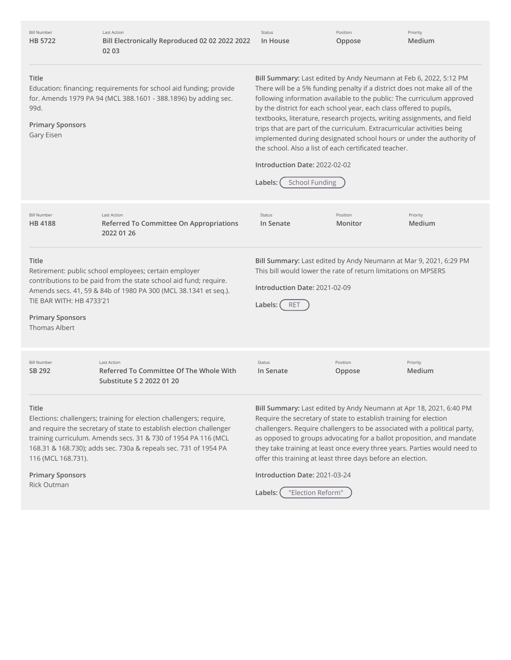| <b>Bill Number</b><br><b>HB 5722</b>                                                                                                                                                                                                                                                  | <b>Last Action</b><br>Bill Electronically Reproduced 02 02 2022 2022<br>02 03                                                                                                                                                                                                   | Status<br>In House                                                                                                                                                                                                                                                                                                                                                                                                                                                                                                                                                                      | Position<br>Oppose  | Priority<br>Medium |  |
|---------------------------------------------------------------------------------------------------------------------------------------------------------------------------------------------------------------------------------------------------------------------------------------|---------------------------------------------------------------------------------------------------------------------------------------------------------------------------------------------------------------------------------------------------------------------------------|-----------------------------------------------------------------------------------------------------------------------------------------------------------------------------------------------------------------------------------------------------------------------------------------------------------------------------------------------------------------------------------------------------------------------------------------------------------------------------------------------------------------------------------------------------------------------------------------|---------------------|--------------------|--|
| Title<br>Education: financing; requirements for school aid funding; provide<br>for. Amends 1979 PA 94 (MCL 388.1601 - 388.1896) by adding sec.<br>99d.<br><b>Primary Sponsors</b><br>Gary Eisen                                                                                       |                                                                                                                                                                                                                                                                                 | Bill Summary: Last edited by Andy Neumann at Feb 6, 2022, 5:12 PM<br>There will be a 5% funding penalty if a district does not make all of the<br>following information available to the public: The curriculum approved<br>by the district for each school year, each class offered to pupils,<br>textbooks, literature, research projects, writing assignments, and field<br>trips that are part of the curriculum. Extracurricular activities being<br>implemented during designated school hours or under the authority of<br>the school. Also a list of each certificated teacher. |                     |                    |  |
|                                                                                                                                                                                                                                                                                       |                                                                                                                                                                                                                                                                                 | Introduction Date: 2022-02-02<br><b>School Funding</b><br>Labels:                                                                                                                                                                                                                                                                                                                                                                                                                                                                                                                       |                     |                    |  |
| <b>Bill Number</b><br><b>HB4188</b>                                                                                                                                                                                                                                                   | <b>Last Action</b><br>Referred To Committee On Appropriations<br>2022 01 26                                                                                                                                                                                                     | Status<br>In Senate                                                                                                                                                                                                                                                                                                                                                                                                                                                                                                                                                                     | Position<br>Monitor | Priority<br>Medium |  |
| Title<br>Retirement: public school employees; certain employer<br>contributions to be paid from the state school aid fund; require.<br>Amends secs. 41, 59 & 84b of 1980 PA 300 (MCL 38.1341 et seq.).<br>TIE BAR WITH: HB 4733'21<br><b>Primary Sponsors</b><br><b>Thomas Albert</b> |                                                                                                                                                                                                                                                                                 | Bill Summary: Last edited by Andy Neumann at Mar 9, 2021, 6:29 PM<br>This bill would lower the rate of return limitations on MPSERS<br>Introduction Date: 2021-02-09<br>Labels:<br><b>RET</b>                                                                                                                                                                                                                                                                                                                                                                                           |                     |                    |  |
| <b>Bill Number</b><br>SB 292                                                                                                                                                                                                                                                          | <b>Last Action</b><br>Referred To Committee Of The Whole With<br>Substitute S 2 2022 01 20                                                                                                                                                                                      | Status<br>In Senate                                                                                                                                                                                                                                                                                                                                                                                                                                                                                                                                                                     | Position<br>Oppose  | Priority<br>Medium |  |
| Title<br>116 (MCL 168.731).                                                                                                                                                                                                                                                           | Elections: challengers; training for election challengers; require,<br>and require the secretary of state to establish election challenger<br>training curriculum. Amends secs. 31 & 730 of 1954 PA 116 (MCL<br>168.31 & 168.730); adds sec. 730a & repeals sec. 731 of 1954 PA | Bill Summary: Last edited by Andy Neumann at Apr 18, 2021, 6:40 PM<br>Require the secretary of state to establish training for election<br>challengers. Require challengers to be associated with a political party,<br>as opposed to groups advocating for a ballot proposition, and mandate<br>they take training at least once every three years. Parties would need to<br>offer this training at least three days before an election.                                                                                                                                               |                     |                    |  |
| <b>Primary Sponsors</b><br>Rick Outman                                                                                                                                                                                                                                                |                                                                                                                                                                                                                                                                                 | Introduction Date: 2021-03-24                                                                                                                                                                                                                                                                                                                                                                                                                                                                                                                                                           |                     |                    |  |

| Labels: ( | "Election Reform" |  |
|-----------|-------------------|--|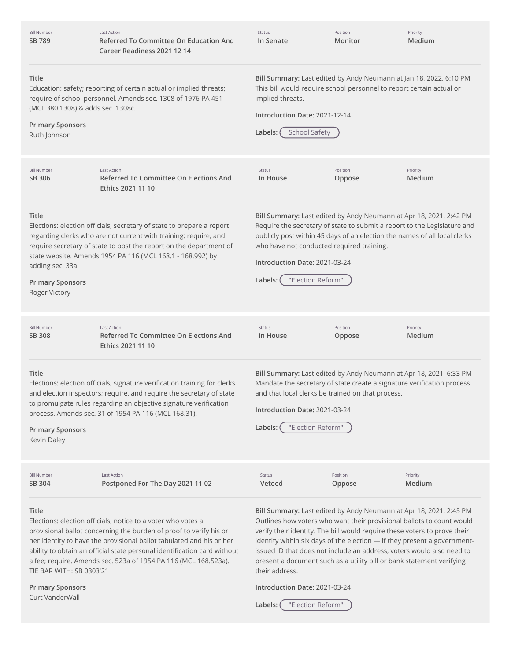| <b>Bill Number</b><br>SB 789                                                                                                                                                                                                | <b>Last Action</b><br>Referred To Committee On Education And<br>Career Readiness 2021 12 14                                                                                                                                                                                                                                                               | <b>Status</b><br>In Senate                                                                                                                                                                                                         | Position<br>Monitor                                                    | Priority<br>Medium                                                                                                                                                                                                                                                                                                                                                                                                                                     |  |
|-----------------------------------------------------------------------------------------------------------------------------------------------------------------------------------------------------------------------------|-----------------------------------------------------------------------------------------------------------------------------------------------------------------------------------------------------------------------------------------------------------------------------------------------------------------------------------------------------------|------------------------------------------------------------------------------------------------------------------------------------------------------------------------------------------------------------------------------------|------------------------------------------------------------------------|--------------------------------------------------------------------------------------------------------------------------------------------------------------------------------------------------------------------------------------------------------------------------------------------------------------------------------------------------------------------------------------------------------------------------------------------------------|--|
| Title<br>Education: safety; reporting of certain actual or implied threats;<br>require of school personnel. Amends sec. 1308 of 1976 PA 451<br>(MCL 380.1308) & adds sec. 1308c.<br><b>Primary Sponsors</b><br>Ruth Johnson |                                                                                                                                                                                                                                                                                                                                                           | Bill Summary: Last edited by Andy Neumann at Jan 18, 2022, 6:10 PM<br>This bill would require school personnel to report certain actual or<br>implied threats.<br>Introduction Date: 2021-12-14<br><b>School Safety</b><br>Labels: |                                                                        |                                                                                                                                                                                                                                                                                                                                                                                                                                                        |  |
|                                                                                                                                                                                                                             |                                                                                                                                                                                                                                                                                                                                                           |                                                                                                                                                                                                                                    |                                                                        |                                                                                                                                                                                                                                                                                                                                                                                                                                                        |  |
| <b>Bill Number</b><br>SB 306                                                                                                                                                                                                | <b>Last Action</b><br>Referred To Committee On Elections And<br>Ethics 2021 11 10                                                                                                                                                                                                                                                                         | Status<br>In House                                                                                                                                                                                                                 | Position<br>Oppose                                                     | Priority<br>Medium                                                                                                                                                                                                                                                                                                                                                                                                                                     |  |
| Title<br>adding sec. 33a.<br><b>Primary Sponsors</b><br>Roger Victory                                                                                                                                                       | Elections: election officials; secretary of state to prepare a report<br>regarding clerks who are not current with training; require, and<br>require secretary of state to post the report on the department of<br>state website. Amends 1954 PA 116 (MCL 168.1 - 168.992) by                                                                             | Introduction Date: 2021-03-24<br>Labels:                                                                                                                                                                                           | who have not conducted required training.<br>"Election Reform"         | Bill Summary: Last edited by Andy Neumann at Apr 18, 2021, 2:42 PM<br>Require the secretary of state to submit a report to the Legislature and<br>publicly post within 45 days of an election the names of all local clerks                                                                                                                                                                                                                            |  |
| <b>Bill Number</b><br><b>SB 308</b>                                                                                                                                                                                         | <b>Last Action</b><br>Referred To Committee On Elections And<br>Ethics 2021 11 10                                                                                                                                                                                                                                                                         | Status<br>In House                                                                                                                                                                                                                 | Position<br>Oppose                                                     | Priority<br>Medium                                                                                                                                                                                                                                                                                                                                                                                                                                     |  |
| Title<br><b>Primary Sponsors</b><br>Kevin Daley                                                                                                                                                                             | Elections: election officials; signature verification training for clerks<br>and election inspectors; require, and require the secretary of state<br>to promulgate rules regarding an objective signature verification<br>process. Amends sec. 31 of 1954 PA 116 (MCL 168.31).                                                                            | Introduction Date: 2021-03-24<br>Labels:                                                                                                                                                                                           | and that local clerks be trained on that process.<br>"Election Reform" | Bill Summary: Last edited by Andy Neumann at Apr 18, 2021, 6:33 PM<br>Mandate the secretary of state create a signature verification process                                                                                                                                                                                                                                                                                                           |  |
| <b>Bill Number</b><br>SB 304                                                                                                                                                                                                | <b>Last Action</b><br>Postponed For The Day 2021 11 02                                                                                                                                                                                                                                                                                                    | Status<br>Vetoed                                                                                                                                                                                                                   | Position<br>Oppose                                                     | Priority<br>Medium                                                                                                                                                                                                                                                                                                                                                                                                                                     |  |
| Title<br>TIE BAR WITH: SB 0303'21                                                                                                                                                                                           | Elections: election officials; notice to a voter who votes a<br>provisional ballot concerning the burden of proof to verify his or<br>her identity to have the provisional ballot tabulated and his or her<br>ability to obtain an official state personal identification card without<br>a fee; require. Amends sec. 523a of 1954 PA 116 (MCL 168.523a). | their address.                                                                                                                                                                                                                     |                                                                        | Bill Summary: Last edited by Andy Neumann at Apr 18, 2021, 2:45 PM<br>Outlines how voters who want their provisional ballots to count would<br>verify their identity. The bill would require these voters to prove their<br>identity within six days of the election - if they present a government-<br>issued ID that does not include an address, voters would also need to<br>present a document such as a utility bill or bank statement verifying |  |
| <b>Primary Sponsors</b><br>Curt VanderWall                                                                                                                                                                                  |                                                                                                                                                                                                                                                                                                                                                           | Introduction Date: 2021-03-24                                                                                                                                                                                                      |                                                                        |                                                                                                                                                                                                                                                                                                                                                                                                                                                        |  |

**Labels:** "Election Reform"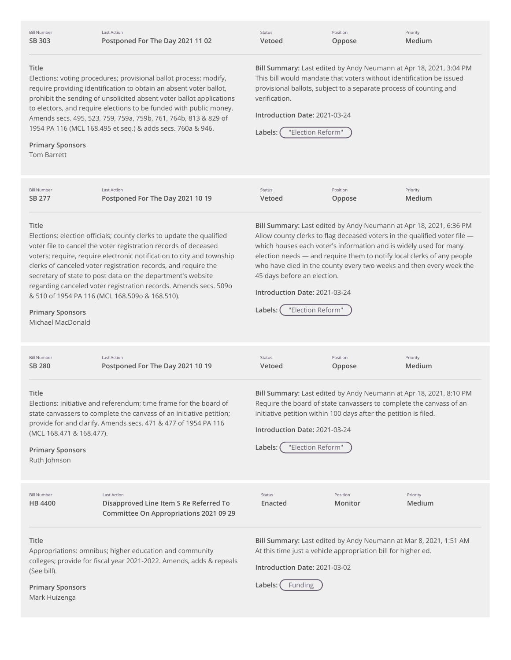Bill Number **SB [303](http://app.fiscalnote.com/share/bill?url=7f1bb19c7bdd3f328a35a65b879eb04c)**

Last Action **Postponed For The Day 2021 11 02**

| Status |  |
|--------|--|
| Vetoed |  |

**Introduction Date:** 2021-03-24

**Labels:** "Election Reform"

verification.

**Oppose**

**Bill Summary:** Last edited by Andy Neumann at Apr 18, 2021, 3:04 PM This bill would mandate that voters without identification be issued provisional ballots, subject to a separate process of counting and

Position

Priority **Medium**

## **Title**

Elections: voting procedures; provisional ballot process; modify, require providing identification to obtain an absent voter ballot, prohibit the sending of unsolicited absent voter ballot applications to electors, and require elections to be funded with public money. Amends secs. 495, 523, 759, 759a, 759b, 761, 764b, 813 & 829 of 1954 PA 116 (MCL 168.495 et seq.) & adds secs. 760a & 946.

# **Primary Sponsors**

Tom Barrett

**Title** Elections: election officials; county clerks to update the qualified voter file to cancel the voter registration records of deceased voters; require, require electronic notification to city and township clerks of canceled voter registration records, and require the secretary of state to post data on the department's website regarding canceled voter registration records. Amends secs. 509o & 510 of 1954 PA 116 (MCL 168.509o & 168.510). **Primary Sponsors** Michael MacDonald **Bill Summary:** Last edited by Andy Neumann at Apr 18, 2021, 6:36 PM Allow county clerks to flag deceased voters in the qualified voter file which houses each voter's information and is widely used for many election needs — and require them to notify local clerks of any people who have died in the county every two weeks and then every week the 45 days before an election. **Introduction Date:** 2021-03-24 **Labels:** "Election Reform" **Title** Elections: initiative and referendum; time frame for the board of state canvassers to complete the canvass of an initiative petition; provide for and clarify. Amends secs. 471 & 477 of 1954 PA 116 (MCL 168.471 & 168.477). **Primary Sponsors** Ruth Johnson **Bill Summary:** Last edited by Andy Neumann at Apr 18, 2021, 8:10 PM Require the board of state canvassers to complete the canvass of an initiative petition within 100 days after the petition is filed. **Introduction Date:** 2021-03-24 **Labels:** "Election Reform" **Title** Appropriations: omnibus; higher education and community colleges; provide for fiscal year 2021-2022. Amends, adds & repeals (See bill). **Primary Sponsors** Mark Huizenga **Bill Summary:** Last edited by Andy Neumann at Mar 8, 2021, 1:51 AM At this time just a vehicle appropriation bill for higher ed. **Introduction Date:** 2021-03-02 Labels: (Funding Bill Number **SB [277](http://app.fiscalnote.com/share/bill?url=bbd5d7489e2c2e6ab295da48bf419e78)** Last Action **Postponed For The Day 2021 10 19** Status **Vetoed** Position **Oppose** Priority **Medium** Bill Number **SB [280](http://app.fiscalnote.com/share/bill?url=66fe4eb073f5b54199a996829cdadbe6)** Last Action **Postponed For The Day 2021 10 19** Status **Vetoed** Position **Oppose** Priority **Medium** Bill Number **HB [4400](http://app.fiscalnote.com/share/bill?url=676cdf2e709b180e666e1007ce606763)** Last Action **Disapproved Line Item S Re Referred To Committee On Appropriations 2021 09 29** Status **Enacted** Position **Monitor** Priority **Medium**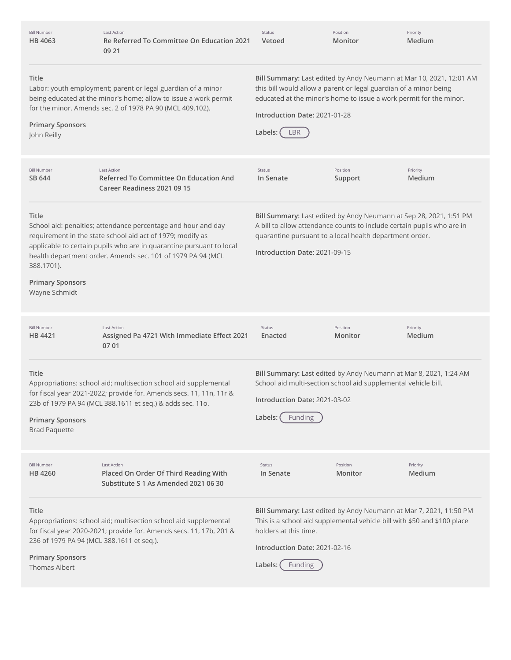| <b>Bill Number</b><br>HB 4063                                                                         | <b>Last Action</b><br>Re Referred To Committee On Education 2021<br>09 21                                                                                                                                                                                          | Status<br>Vetoed                                                                                                                                                                                                                                                    | Position<br>Monitor | Priority<br>Medium |
|-------------------------------------------------------------------------------------------------------|--------------------------------------------------------------------------------------------------------------------------------------------------------------------------------------------------------------------------------------------------------------------|---------------------------------------------------------------------------------------------------------------------------------------------------------------------------------------------------------------------------------------------------------------------|---------------------|--------------------|
| Title<br><b>Primary Sponsors</b><br>John Reilly                                                       | Labor: youth employment; parent or legal guardian of a minor<br>being educated at the minor's home; allow to issue a work permit<br>for the minor. Amends sec. 2 of 1978 PA 90 (MCL 409.102).                                                                      | Bill Summary: Last edited by Andy Neumann at Mar 10, 2021, 12:01 AM<br>this bill would allow a parent or legal guardian of a minor being<br>educated at the minor's home to issue a work permit for the minor.<br>Introduction Date: 2021-01-28<br>LBR<br>Labels: ( |                     |                    |
| <b>Bill Number</b><br>SB 644                                                                          | <b>Last Action</b><br>Referred To Committee On Education And<br>Career Readiness 2021 09 15                                                                                                                                                                        | Status<br>In Senate                                                                                                                                                                                                                                                 | Position<br>Support | Priority<br>Medium |
| Title<br>388.1701).<br><b>Primary Sponsors</b><br>Wayne Schmidt                                       | School aid: penalties; attendance percentage and hour and day<br>requirement in the state school aid act of 1979; modify as<br>applicable to certain pupils who are in quarantine pursuant to local<br>health department order. Amends sec. 101 of 1979 PA 94 (MCL | Bill Summary: Last edited by Andy Neumann at Sep 28, 2021, 1:51 PM<br>A bill to allow attendance counts to include certain pupils who are in<br>quarantine pursuant to a local health department order.<br>Introduction Date: 2021-09-15                            |                     |                    |
| <b>Bill Number</b><br>HB 4421                                                                         | <b>Last Action</b><br>Assigned Pa 4721 With Immediate Effect 2021<br>07 01                                                                                                                                                                                         | Status<br>Enacted                                                                                                                                                                                                                                                   | Position<br>Monitor | Priority<br>Medium |
| Title<br><b>Primary Sponsors</b><br><b>Brad Paquette</b>                                              | Appropriations: school aid; multisection school aid supplemental<br>for fiscal year 2021-2022; provide for. Amends secs. 11, 11n, 11r &<br>23b of 1979 PA 94 (MCL 388.1611 et seq.) & adds sec. 11o.                                                               | Bill Summary: Last edited by Andy Neumann at Mar 8, 2021, 1:24 AM<br>School aid multi-section school aid supplemental vehicle bill.<br>Introduction Date: 2021-03-02<br>Labels:<br>Funding                                                                          |                     |                    |
| <b>Bill Number</b><br><b>HB4260</b>                                                                   | <b>Last Action</b><br>Placed On Order Of Third Reading With<br>Substitute S 1 As Amended 2021 06 30                                                                                                                                                                | Status<br>In Senate                                                                                                                                                                                                                                                 | Position<br>Monitor | Priority<br>Medium |
| Title<br>236 of 1979 PA 94 (MCL 388.1611 et seq.).<br><b>Primary Sponsors</b><br><b>Thomas Albert</b> | Appropriations: school aid; multisection school aid supplemental<br>for fiscal year 2020-2021; provide for. Amends secs. 11, 17b, 201 &                                                                                                                            | Bill Summary: Last edited by Andy Neumann at Mar 7, 2021, 11:50 PM<br>This is a school aid supplemental vehicle bill with \$50 and \$100 place<br>holders at this time.<br>Introduction Date: 2021-02-16<br>Labels:<br><b>Funding</b>                               |                     |                    |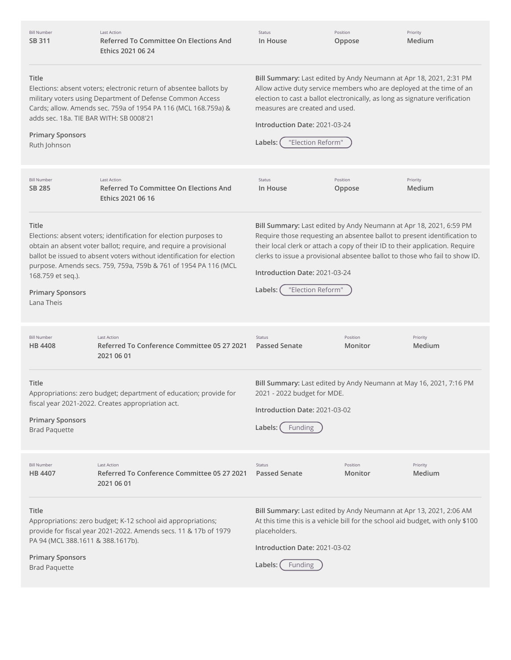| <b>Bill Number</b><br>SB 311                                                                                                                                                                                                                                                                     | <b>Last Action</b><br>Referred To Committee On Elections And<br>Ethics 2021 06 24                                                                                                                                                                                                  | Status<br>In House                                                                                                                                                                                                                                                                                                           | Position<br>Oppose  | Priority<br>Medium                                                                                                                                                                                                                                                                                            |  |
|--------------------------------------------------------------------------------------------------------------------------------------------------------------------------------------------------------------------------------------------------------------------------------------------------|------------------------------------------------------------------------------------------------------------------------------------------------------------------------------------------------------------------------------------------------------------------------------------|------------------------------------------------------------------------------------------------------------------------------------------------------------------------------------------------------------------------------------------------------------------------------------------------------------------------------|---------------------|---------------------------------------------------------------------------------------------------------------------------------------------------------------------------------------------------------------------------------------------------------------------------------------------------------------|--|
| Title<br>Elections: absent voters; electronic return of absentee ballots by<br>military voters using Department of Defense Common Access<br>Cards; allow. Amends sec. 759a of 1954 PA 116 (MCL 168.759a) &<br>adds sec. 18a. TIE BAR WITH: SB 0008'21<br><b>Primary Sponsors</b><br>Ruth Johnson |                                                                                                                                                                                                                                                                                    | Bill Summary: Last edited by Andy Neumann at Apr 18, 2021, 2:31 PM<br>Allow active duty service members who are deployed at the time of an<br>election to cast a ballot electronically, as long as signature verification<br>measures are created and used.<br>Introduction Date: 2021-03-24<br>"Election Reform"<br>Labels: |                     |                                                                                                                                                                                                                                                                                                               |  |
| <b>Bill Number</b><br>SB 285                                                                                                                                                                                                                                                                     | <b>Last Action</b><br>Referred To Committee On Elections And<br>Ethics 2021 06 16                                                                                                                                                                                                  | Status<br>In House                                                                                                                                                                                                                                                                                                           | Position<br>Oppose  | Priority<br>Medium                                                                                                                                                                                                                                                                                            |  |
| Title<br>168.759 et seq.).<br><b>Primary Sponsors</b><br>Lana Theis                                                                                                                                                                                                                              | Elections: absent voters; identification for election purposes to<br>obtain an absent voter ballot; require, and require a provisional<br>ballot be issued to absent voters without identification for election<br>purpose. Amends secs. 759, 759a, 759b & 761 of 1954 PA 116 (MCL | Introduction Date: 2021-03-24<br>"Election Reform"<br>Labels:                                                                                                                                                                                                                                                                |                     | Bill Summary: Last edited by Andy Neumann at Apr 18, 2021, 6:59 PM<br>Require those requesting an absentee ballot to present identification to<br>their local clerk or attach a copy of their ID to their application. Require<br>clerks to issue a provisional absentee ballot to those who fail to show ID. |  |
| <b>Bill Number</b><br>HB 4408                                                                                                                                                                                                                                                                    | <b>Last Action</b><br>Referred To Conference Committee 05 27 2021<br>2021 06 01                                                                                                                                                                                                    | <b>Status</b><br><b>Passed Senate</b>                                                                                                                                                                                                                                                                                        | Position<br>Monitor | Priority<br>Medium                                                                                                                                                                                                                                                                                            |  |
| Title<br>Appropriations: zero budget; department of education; provide for<br>fiscal year 2021-2022. Creates appropriation act.<br><b>Primary Sponsors</b><br><b>Brad Paquette</b>                                                                                                               |                                                                                                                                                                                                                                                                                    | Bill Summary: Last edited by Andy Neumann at May 16, 2021, 7:16 PM<br>2021 - 2022 budget for MDE.<br>Introduction Date: 2021-03-02<br>Labels:<br>Funding                                                                                                                                                                     |                     |                                                                                                                                                                                                                                                                                                               |  |
| <b>Bill Number</b><br>HB 4407                                                                                                                                                                                                                                                                    | <b>Last Action</b><br>Referred To Conference Committee 05 27 2021<br>2021 06 01                                                                                                                                                                                                    | Status<br><b>Passed Senate</b>                                                                                                                                                                                                                                                                                               | Position<br>Monitor | Priority<br>Medium                                                                                                                                                                                                                                                                                            |  |
| Title<br>PA 94 (MCL 388.1611 & 388.1617b).                                                                                                                                                                                                                                                       | Appropriations: zero budget; K-12 school aid appropriations;<br>provide for fiscal year 2021-2022. Amends secs. 11 & 17b of 1979                                                                                                                                                   | placeholders.<br>Introduction Date: 2021-03-02                                                                                                                                                                                                                                                                               |                     | Bill Summary: Last edited by Andy Neumann at Apr 13, 2021, 2:06 AM<br>At this time this is a vehicle bill for the school aid budget, with only \$100                                                                                                                                                          |  |

**Primary Sponsors** Brad Paquette

Labels: Funding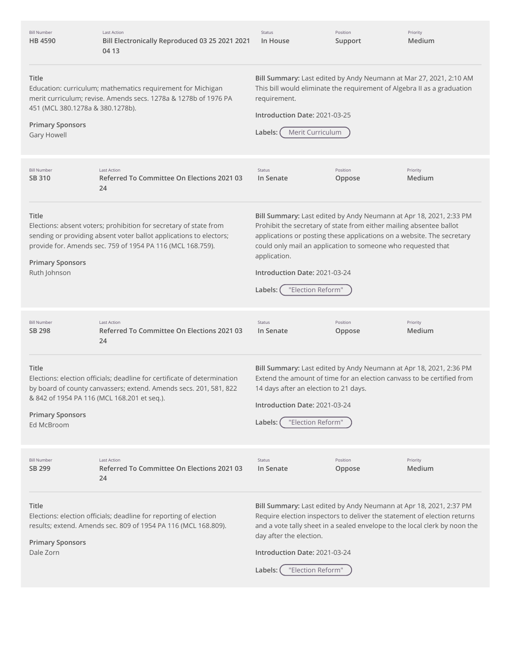| <b>Bill Number</b><br>HB 4590                                                       | <b>Last Action</b><br>Bill Electronically Reproduced 03 25 2021 2021<br>04 13                                                                                                                         | Status<br>In House                                                                                                                                                                                                                                                                                                                                                   | Position<br>Support | Priority<br>Medium |
|-------------------------------------------------------------------------------------|-------------------------------------------------------------------------------------------------------------------------------------------------------------------------------------------------------|----------------------------------------------------------------------------------------------------------------------------------------------------------------------------------------------------------------------------------------------------------------------------------------------------------------------------------------------------------------------|---------------------|--------------------|
| Title<br>451 (MCL 380.1278a & 380.1278b).<br><b>Primary Sponsors</b><br>Gary Howell | Education: curriculum; mathematics requirement for Michigan<br>merit curriculum; revise. Amends secs. 1278a & 1278b of 1976 PA                                                                        | Bill Summary: Last edited by Andy Neumann at Mar 27, 2021, 2:10 AM<br>This bill would eliminate the requirement of Algebra II as a graduation<br>requirement.<br>Introduction Date: 2021-03-25<br>Merit Curriculum<br>Labels:                                                                                                                                        |                     |                    |
| <b>Bill Number</b><br>SB 310                                                        | <b>Last Action</b><br>Referred To Committee On Elections 2021 03<br>24                                                                                                                                | Status<br>In Senate                                                                                                                                                                                                                                                                                                                                                  | Position<br>Oppose  | Priority<br>Medium |
| Title<br><b>Primary Sponsors</b><br>Ruth Johnson                                    | Elections: absent voters; prohibition for secretary of state from<br>sending or providing absent voter ballot applications to electors;<br>provide for. Amends sec. 759 of 1954 PA 116 (MCL 168.759). | Bill Summary: Last edited by Andy Neumann at Apr 18, 2021, 2:33 PM<br>Prohibit the secretary of state from either mailing absentee ballot<br>applications or posting these applications on a website. The secretary<br>could only mail an application to someone who requested that<br>application.<br>Introduction Date: 2021-03-24<br>"Election Reform"<br>Labels: |                     |                    |
| <b>Bill Number</b><br>SB 298                                                        | <b>Last Action</b><br>Referred To Committee On Elections 2021 03<br>24                                                                                                                                | Status<br>In Senate                                                                                                                                                                                                                                                                                                                                                  | Position<br>Oppose  | Priority<br>Medium |
| Title<br><b>Primary Sponsors</b><br>Ed McBroom                                      | Elections: election officials; deadline for certificate of determination<br>by board of county canvassers; extend. Amends secs. 201, 581, 822<br>& 842 of 1954 PA 116 (MCL 168.201 et seq.).          | Bill Summary: Last edited by Andy Neumann at Apr 18, 2021, 2:36 PM<br>Extend the amount of time for an election canyass to be certified from<br>14 days after an election to 21 days.<br>Introduction Date: 2021-03-24<br>"Election Reform"<br>Labels:                                                                                                               |                     |                    |
| <b>Bill Number</b><br>SB 299                                                        | <b>Last Action</b><br>Referred To Committee On Elections 2021 03<br>24                                                                                                                                | Status<br>In Senate                                                                                                                                                                                                                                                                                                                                                  | Position<br>Oppose  | Priority<br>Medium |
| Title<br><b>Primary Sponsors</b><br>Dale Zorn                                       | Elections: election officials; deadline for reporting of election<br>results; extend. Amends sec. 809 of 1954 PA 116 (MCL 168.809).                                                                   | Bill Summary: Last edited by Andy Neumann at Apr 18, 2021, 2:37 PM<br>Require election inspectors to deliver the statement of election returns<br>and a vote tally sheet in a sealed envelope to the local clerk by noon the<br>day after the election.<br>Introduction Date: 2021-03-24<br>"Election Reform"<br>Labels:                                             |                     |                    |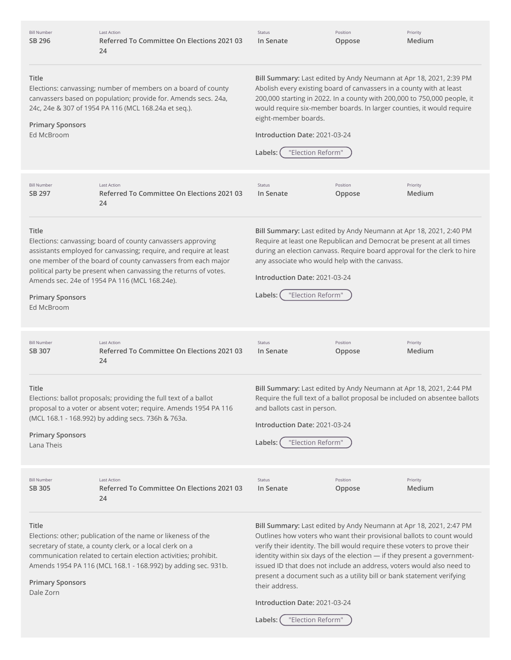| <b>Bill Number</b><br>SB 296                          | <b>Last Action</b><br>Referred To Committee On Elections 2021 03<br>24                                                                                                                                                                                                                                                | Status<br>In Senate                                                                                             | Position<br>Oppose | Priority<br>Medium                                                                                                                                                                                                                                                                                                                                                                                                                                     |
|-------------------------------------------------------|-----------------------------------------------------------------------------------------------------------------------------------------------------------------------------------------------------------------------------------------------------------------------------------------------------------------------|-----------------------------------------------------------------------------------------------------------------|--------------------|--------------------------------------------------------------------------------------------------------------------------------------------------------------------------------------------------------------------------------------------------------------------------------------------------------------------------------------------------------------------------------------------------------------------------------------------------------|
| Title<br><b>Primary Sponsors</b>                      | Elections: canvassing; number of members on a board of county<br>canvassers based on population; provide for. Amends secs. 24a,<br>24c, 24e & 307 of 1954 PA 116 (MCL 168.24a et seq.).                                                                                                                               | eight-member boards.                                                                                            |                    | Bill Summary: Last edited by Andy Neumann at Apr 18, 2021, 2:39 PM<br>Abolish every existing board of canvassers in a county with at least<br>200,000 starting in 2022. In a county with 200,000 to 750,000 people, it<br>would require six-member boards. In larger counties, it would require                                                                                                                                                        |
| Ed McBroom                                            |                                                                                                                                                                                                                                                                                                                       | Introduction Date: 2021-03-24<br>"Election Reform"<br>Labels:                                                   |                    |                                                                                                                                                                                                                                                                                                                                                                                                                                                        |
| <b>Bill Number</b><br>SB 297                          | <b>Last Action</b><br>Referred To Committee On Elections 2021 03<br>24                                                                                                                                                                                                                                                | Status<br>In Senate                                                                                             | Position<br>Oppose | Priority<br>Medium                                                                                                                                                                                                                                                                                                                                                                                                                                     |
| <b>Title</b><br><b>Primary Sponsors</b><br>Ed McBroom | Elections: canvassing; board of county canvassers approving<br>assistants employed for canvassing; require, and require at least<br>one member of the board of county canvassers from each major<br>political party be present when canvassing the returns of votes.<br>Amends sec. 24e of 1954 PA 116 (MCL 168.24e). | any associate who would help with the canvass.<br>Introduction Date: 2021-03-24<br>"Election Reform"<br>Labels: |                    | Bill Summary: Last edited by Andy Neumann at Apr 18, 2021, 2:40 PM<br>Require at least one Republican and Democrat be present at all times<br>during an election canvass. Require board approval for the clerk to hire                                                                                                                                                                                                                                 |
| <b>Bill Number</b><br>SB 307                          | <b>Last Action</b><br>Referred To Committee On Elections 2021 03<br>24                                                                                                                                                                                                                                                | Status<br>In Senate                                                                                             | Position<br>Oppose | Priority<br>Medium                                                                                                                                                                                                                                                                                                                                                                                                                                     |
| Title<br><b>Primary Sponsors</b><br>Lana Theis        | Elections: ballot proposals; providing the full text of a ballot<br>proposal to a voter or absent voter; require. Amends 1954 PA 116<br>(MCL 168.1 - 168.992) by adding secs. 736h & 763a.                                                                                                                            | and ballots cast in person.<br>Introduction Date: 2021-03-24<br>"Election Reform"<br>Labels:                    |                    | Bill Summary: Last edited by Andy Neumann at Apr 18, 2021, 2:44 PM<br>Require the full text of a ballot proposal be included on absentee ballots                                                                                                                                                                                                                                                                                                       |
| <b>Bill Number</b><br>SB 305                          | <b>Last Action</b><br>Referred To Committee On Elections 2021 03<br>24                                                                                                                                                                                                                                                | Status<br>In Senate                                                                                             | Position<br>Oppose | Priority<br>Medium                                                                                                                                                                                                                                                                                                                                                                                                                                     |
| Title<br><b>Primary Sponsors</b><br>Dale Zorn         | Elections: other; publication of the name or likeness of the<br>secretary of state, a county clerk, or a local clerk on a<br>communication related to certain election activities; prohibit.<br>Amends 1954 PA 116 (MCL 168.1 - 168.992) by adding sec. 931b.                                                         | their address.                                                                                                  |                    | Bill Summary: Last edited by Andy Neumann at Apr 18, 2021, 2:47 PM<br>Outlines how voters who want their provisional ballots to count would<br>verify their identity. The bill would require these voters to prove their<br>identity within six days of the election - if they present a government-<br>issued ID that does not include an address, voters would also need to<br>present a document such as a utility bill or bank statement verifying |
|                                                       |                                                                                                                                                                                                                                                                                                                       | Introduction Date: 2021-03-24<br>"Election Reform"<br>Labels:                                                   |                    |                                                                                                                                                                                                                                                                                                                                                                                                                                                        |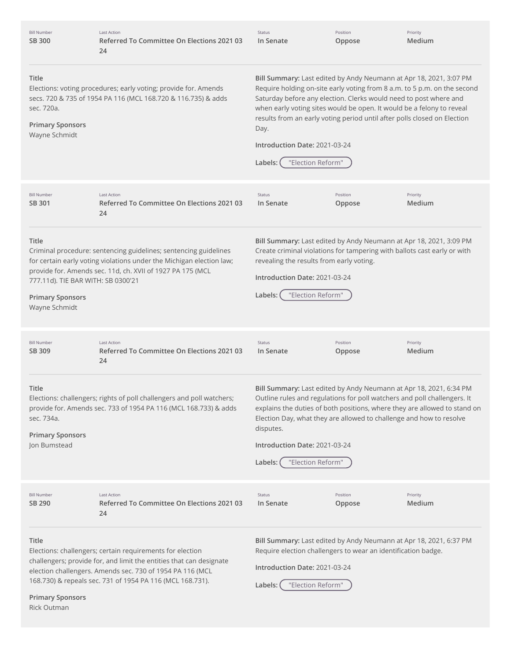| <b>Bill Number</b><br><b>SB 300</b>                                                            | <b>Last Action</b><br>Referred To Committee On Elections 2021 03<br>24                                                                                                                                                                                     | Status<br>In Senate                                                                                                                                                                                                                                                                                                                                                                                                                               | Position<br>Oppose | Priority<br>Medium                                                        |  |
|------------------------------------------------------------------------------------------------|------------------------------------------------------------------------------------------------------------------------------------------------------------------------------------------------------------------------------------------------------------|---------------------------------------------------------------------------------------------------------------------------------------------------------------------------------------------------------------------------------------------------------------------------------------------------------------------------------------------------------------------------------------------------------------------------------------------------|--------------------|---------------------------------------------------------------------------|--|
| Title<br>sec. 720a.<br><b>Primary Sponsors</b><br>Wayne Schmidt                                | Elections: voting procedures; early voting; provide for. Amends<br>secs. 720 & 735 of 1954 PA 116 (MCL 168.720 & 116.735) & adds                                                                                                                           | Bill Summary: Last edited by Andy Neumann at Apr 18, 2021, 3:07 PM<br>Require holding on-site early voting from 8 a.m. to 5 p.m. on the second<br>Saturday before any election. Clerks would need to post where and<br>when early voting sites would be open. It would be a felony to reveal<br>results from an early voting period until after polls closed on Election<br>Day.<br>Introduction Date: 2021-03-24<br>"Election Reform"<br>Labels: |                    |                                                                           |  |
| <b>Bill Number</b><br>SB 301                                                                   | <b>Last Action</b><br>Referred To Committee On Elections 2021 03<br>24                                                                                                                                                                                     | Status<br>In Senate                                                                                                                                                                                                                                                                                                                                                                                                                               | Position<br>Oppose | Priority<br>Medium                                                        |  |
| <b>Title</b><br>777.11d). TIE BAR WITH: SB 0300'21<br><b>Primary Sponsors</b><br>Wayne Schmidt | Criminal procedure: sentencing guidelines; sentencing guidelines<br>for certain early voting violations under the Michigan election law;<br>provide for. Amends sec. 11d, ch. XVII of 1927 PA 175 (MCL                                                     | Bill Summary: Last edited by Andy Neumann at Apr 18, 2021, 3:09 PM<br>Create criminal violations for tampering with ballots cast early or with<br>revealing the results from early voting.<br>Introduction Date: 2021-03-24<br>"Election Reform"<br>Labels:                                                                                                                                                                                       |                    |                                                                           |  |
| <b>Bill Number</b><br>SB 309                                                                   | <b>Last Action</b><br>Referred To Committee On Elections 2021 03<br>24                                                                                                                                                                                     | Status<br>In Senate                                                                                                                                                                                                                                                                                                                                                                                                                               | Position<br>Oppose | Priority<br>Medium                                                        |  |
| Title<br>sec. 734a.<br><b>Primary Sponsors</b><br>Jon Bumstead                                 | Elections: challengers; rights of poll challengers and poll watchers;<br>provide for. Amends sec. 733 of 1954 PA 116 (MCL 168.733) & adds                                                                                                                  | Bill Summary: Last edited by Andy Neumann at Apr 18, 2021, 6:34 PM<br>Outline rules and regulations for poll watchers and poll challengers. It<br>Election Day, what they are allowed to challenge and how to resolve<br>disputes.<br>Introduction Date: 2021-03-24<br>"Election Reform"<br>Labels: (                                                                                                                                             |                    | explains the duties of both positions, where they are allowed to stand on |  |
| <b>Bill Number</b><br>SB 290                                                                   | <b>Last Action</b><br>Referred To Committee On Elections 2021 03<br>24                                                                                                                                                                                     | Status<br>In Senate                                                                                                                                                                                                                                                                                                                                                                                                                               | Position<br>Oppose | Priority<br>Medium                                                        |  |
| Title<br><b>Primary Sponsors</b><br>Rick Outman                                                | Elections: challengers; certain requirements for election<br>challengers; provide for, and limit the entities that can designate<br>election challengers. Amends sec. 730 of 1954 PA 116 (MCL<br>168.730) & repeals sec. 731 of 1954 PA 116 (MCL 168.731). | Bill Summary: Last edited by Andy Neumann at Apr 18, 2021, 6:37 PM<br>Require election challengers to wear an identification badge.<br>Introduction Date: 2021-03-24<br>"Election Reform"<br>Labels:                                                                                                                                                                                                                                              |                    |                                                                           |  |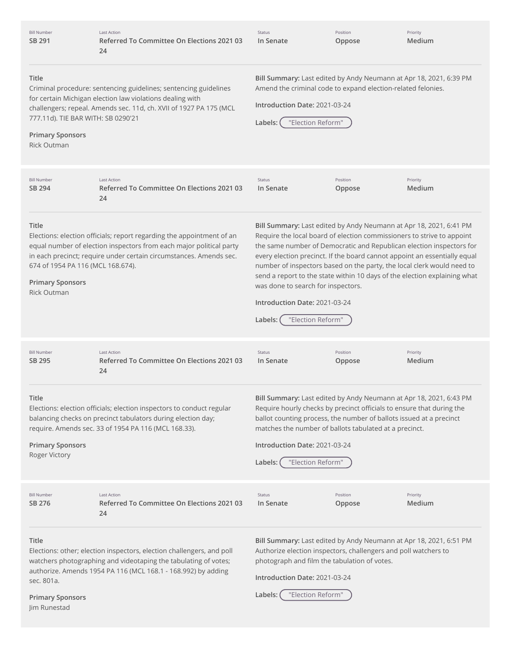| <b>Bill Number</b><br>SB 291                                                                       | <b>Last Action</b><br>Referred To Committee On Elections 2021 03<br>24                                                                                                                                             | Status<br>In Senate                                                                                                                                                                                                                                                                                                                                                                                                                                                                                                                                             | Position<br>Oppose | Priority<br>Medium |
|----------------------------------------------------------------------------------------------------|--------------------------------------------------------------------------------------------------------------------------------------------------------------------------------------------------------------------|-----------------------------------------------------------------------------------------------------------------------------------------------------------------------------------------------------------------------------------------------------------------------------------------------------------------------------------------------------------------------------------------------------------------------------------------------------------------------------------------------------------------------------------------------------------------|--------------------|--------------------|
| Title<br>777.11d). TIE BAR WITH: SB 0290'21<br><b>Primary Sponsors</b><br><b>Rick Outman</b>       | Criminal procedure: sentencing guidelines; sentencing guidelines<br>for certain Michigan election law violations dealing with<br>challengers; repeal. Amends sec. 11d, ch. XVII of 1927 PA 175 (MCL                | Bill Summary: Last edited by Andy Neumann at Apr 18, 2021, 6:39 PM<br>Amend the criminal code to expand election-related felonies.<br>Introduction Date: 2021-03-24<br>"Election Reform"<br>Labels:                                                                                                                                                                                                                                                                                                                                                             |                    |                    |
| <b>Bill Number</b><br>SB 294                                                                       | <b>Last Action</b><br>Referred To Committee On Elections 2021 03<br>24                                                                                                                                             | Status<br>In Senate                                                                                                                                                                                                                                                                                                                                                                                                                                                                                                                                             | Position<br>Oppose | Priority<br>Medium |
| <b>Title</b><br>674 of 1954 PA 116 (MCL 168.674).<br><b>Primary Sponsors</b><br><b>Rick Outman</b> | Elections: election officials; report regarding the appointment of an<br>equal number of election inspectors from each major political party<br>in each precinct; require under certain circumstances. Amends sec. | Bill Summary: Last edited by Andy Neumann at Apr 18, 2021, 6:41 PM<br>Require the local board of election commissioners to strive to appoint<br>the same number of Democratic and Republican election inspectors for<br>every election precinct. If the board cannot appoint an essentially equal<br>number of inspectors based on the party, the local clerk would need to<br>send a report to the state within 10 days of the election explaining what<br>was done to search for inspectors.<br>Introduction Date: 2021-03-24<br>"Election Reform"<br>Labels: |                    |                    |
| <b>Bill Number</b><br>SB 295                                                                       | <b>Last Action</b><br>Referred To Committee On Elections 2021 03<br>24                                                                                                                                             | Status<br>In Senate                                                                                                                                                                                                                                                                                                                                                                                                                                                                                                                                             | Position<br>Oppose | Priority<br>Medium |
| <b>Title</b><br><b>Primary Sponsors</b><br>Roger Victory                                           | Elections: election officials; election inspectors to conduct regular<br>balancing checks on precinct tabulators during election day;<br>require. Amends sec. 33 of 1954 PA 116 (MCL 168.33).                      | Bill Summary: Last edited by Andy Neumann at Apr 18, 2021, 6:43 PM<br>Require hourly checks by precinct officials to ensure that during the<br>ballot counting process, the number of ballots issued at a precinct<br>matches the number of ballots tabulated at a precinct.<br>Introduction Date: 2021-03-24<br>"Election Reform"<br>Labels:                                                                                                                                                                                                                   |                    |                    |
| <b>Bill Number</b><br>SB 276                                                                       | <b>Last Action</b><br>Referred To Committee On Elections 2021 03<br>24                                                                                                                                             | Status<br>In Senate                                                                                                                                                                                                                                                                                                                                                                                                                                                                                                                                             | Position<br>Oppose | Priority<br>Medium |
| Title<br>sec. 801a.<br><b>Primary Sponsors</b><br>Jim Runestad                                     | Elections: other; election inspectors, election challengers, and poll<br>watchers photographing and videotaping the tabulating of votes;<br>authorize. Amends 1954 PA 116 (MCL 168.1 - 168.992) by adding          | Bill Summary: Last edited by Andy Neumann at Apr 18, 2021, 6:51 PM<br>Authorize election inspectors, challengers and poll watchers to<br>photograph and film the tabulation of votes.<br>Introduction Date: 2021-03-24<br>"Election Reform"<br>Labels:                                                                                                                                                                                                                                                                                                          |                    |                    |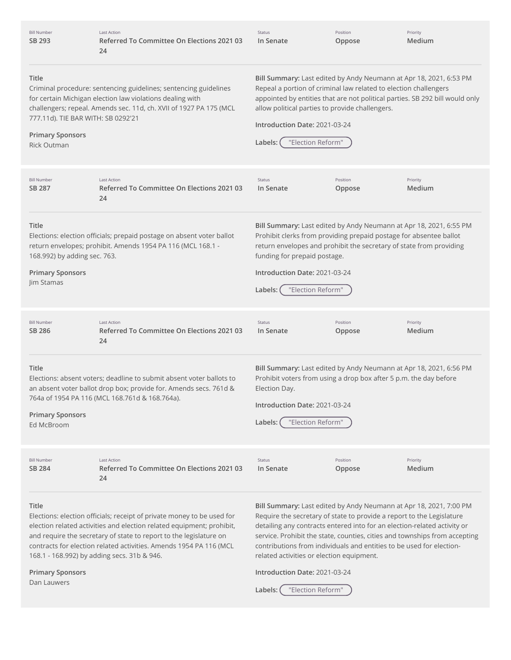| <b>Bill Number</b><br>SB 293                                                                 | Last Action<br>Referred To Committee On Elections 2021 03<br>24                                                                                                                                                                                                                                                                            | Status<br>In Senate                                                                                                                                                                  | Position<br>Oppose | Priority<br>Medium                                                                                                                                                                                                                                                                                                                                                            |
|----------------------------------------------------------------------------------------------|--------------------------------------------------------------------------------------------------------------------------------------------------------------------------------------------------------------------------------------------------------------------------------------------------------------------------------------------|--------------------------------------------------------------------------------------------------------------------------------------------------------------------------------------|--------------------|-------------------------------------------------------------------------------------------------------------------------------------------------------------------------------------------------------------------------------------------------------------------------------------------------------------------------------------------------------------------------------|
| Title<br>777.11d). TIE BAR WITH: SB 0292'21<br><b>Primary Sponsors</b><br><b>Rick Outman</b> | Criminal procedure: sentencing guidelines; sentencing guidelines<br>for certain Michigan election law violations dealing with<br>challengers; repeal. Amends sec. 11d, ch. XVII of 1927 PA 175 (MCL                                                                                                                                        | Repeal a portion of criminal law related to election challengers<br>allow political parties to provide challengers.<br>Introduction Date: 2021-03-24<br>"Election Reform"<br>Labels: |                    | Bill Summary: Last edited by Andy Neumann at Apr 18, 2021, 6:53 PM<br>appointed by entities that are not political parties. SB 292 bill would only                                                                                                                                                                                                                            |
| <b>Bill Number</b><br>SB 287                                                                 | <b>Last Action</b><br>Referred To Committee On Elections 2021 03<br>24                                                                                                                                                                                                                                                                     | Status<br>In Senate                                                                                                                                                                  | Position<br>Oppose | Priority<br>Medium                                                                                                                                                                                                                                                                                                                                                            |
| Title<br>168.992) by adding sec. 763.<br><b>Primary Sponsors</b><br>Jim Stamas               | Elections: election officials; prepaid postage on absent voter ballot<br>return envelopes; prohibit. Amends 1954 PA 116 (MCL 168.1 -                                                                                                                                                                                                       | funding for prepaid postage.<br>Introduction Date: 2021-03-24<br>"Election Reform"<br>Labels:                                                                                        |                    | Bill Summary: Last edited by Andy Neumann at Apr 18, 2021, 6:55 PM<br>Prohibit clerks from providing prepaid postage for absentee ballot<br>return envelopes and prohibit the secretary of state from providing                                                                                                                                                               |
| <b>Bill Number</b><br>SB 286                                                                 | <b>Last Action</b><br>Referred To Committee On Elections 2021 03<br>24                                                                                                                                                                                                                                                                     | Status<br>In Senate                                                                                                                                                                  | Position<br>Oppose | Priority<br>Medium                                                                                                                                                                                                                                                                                                                                                            |
| Title<br><b>Primary Sponsors</b><br>Ed McBroom                                               | Elections: absent voters; deadline to submit absent voter ballots to<br>an absent voter ballot drop box; provide for. Amends secs. 761d &<br>764a of 1954 PA 116 (MCL 168.761d & 168.764a).                                                                                                                                                | Election Day.<br>Introduction Date: 2021-03-24<br>"Election Reform"<br>Labels:                                                                                                       |                    | Bill Summary: Last edited by Andy Neumann at Apr 18, 2021, 6:56 PM<br>Prohibit voters from using a drop box after 5 p.m. the day before                                                                                                                                                                                                                                       |
| <b>Bill Number</b><br>SB 284                                                                 | <b>Last Action</b><br>Referred To Committee On Elections 2021 03<br>24                                                                                                                                                                                                                                                                     | Status<br>In Senate                                                                                                                                                                  | Position<br>Oppose | Priority<br>Medium                                                                                                                                                                                                                                                                                                                                                            |
| Title                                                                                        | Elections: election officials; receipt of private money to be used for<br>election related activities and election related equipment; prohibit,<br>and require the secretary of state to report to the legislature on<br>contracts for election related activities. Amends 1954 PA 116 (MCL<br>168.1 - 168.992) by adding secs. 31b & 946. | related activities or election equipment.                                                                                                                                            |                    | Bill Summary: Last edited by Andy Neumann at Apr 18, 2021, 7:00 PM<br>Require the secretary of state to provide a report to the Legislature<br>detailing any contracts entered into for an election-related activity or<br>service. Prohibit the state, counties, cities and townships from accepting<br>contributions from individuals and entities to be used for election- |
| <b>Primary Sponsors</b><br>Dan Lauwers                                                       |                                                                                                                                                                                                                                                                                                                                            | Introduction Date: 2021-03-24<br>"Election Reform"<br>Labels:                                                                                                                        |                    |                                                                                                                                                                                                                                                                                                                                                                               |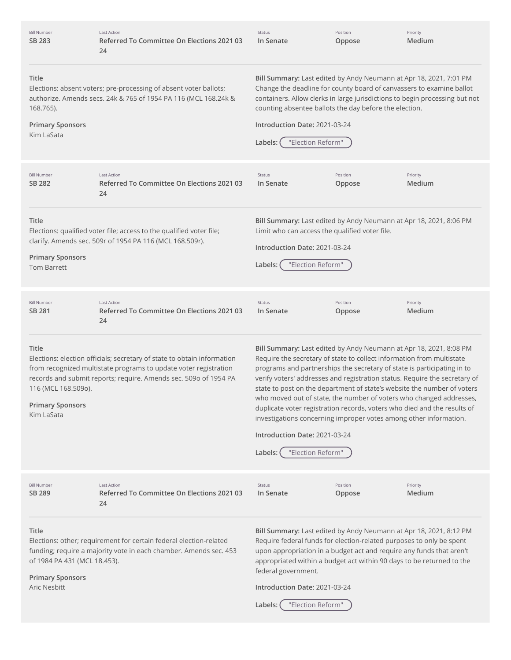| <b>Bill Number</b><br>SB 283                                                                                                                                                                                                | Last Action<br>Referred To Committee On Elections 2021 03<br>24                                                                                                                                                 | Status<br>In Senate                                                                                                                                                                                                                                                                                                                                                                                                                                                                                                                                                                                                                                                      | Position<br>Oppose | Priority<br>Medium |
|-----------------------------------------------------------------------------------------------------------------------------------------------------------------------------------------------------------------------------|-----------------------------------------------------------------------------------------------------------------------------------------------------------------------------------------------------------------|--------------------------------------------------------------------------------------------------------------------------------------------------------------------------------------------------------------------------------------------------------------------------------------------------------------------------------------------------------------------------------------------------------------------------------------------------------------------------------------------------------------------------------------------------------------------------------------------------------------------------------------------------------------------------|--------------------|--------------------|
| Title<br>168.765).<br><b>Primary Sponsors</b><br>Kim LaSata                                                                                                                                                                 | Elections: absent voters; pre-processing of absent voter ballots;<br>authorize. Amends secs. 24k & 765 of 1954 PA 116 (MCL 168.24k &                                                                            | Bill Summary: Last edited by Andy Neumann at Apr 18, 2021, 7:01 PM<br>Change the deadline for county board of canvassers to examine ballot<br>containers. Allow clerks in large jurisdictions to begin processing but not<br>counting absentee ballots the day before the election.<br>Introduction Date: 2021-03-24<br>"Election Reform"<br>Labels:                                                                                                                                                                                                                                                                                                                     |                    |                    |
| <b>Bill Number</b><br>SB 282                                                                                                                                                                                                | <b>Last Action</b><br>Referred To Committee On Elections 2021 03<br>24                                                                                                                                          | Status<br>In Senate                                                                                                                                                                                                                                                                                                                                                                                                                                                                                                                                                                                                                                                      | Position<br>Oppose | Priority<br>Medium |
| Title<br><b>Primary Sponsors</b><br><b>Tom Barrett</b>                                                                                                                                                                      | Elections: qualified voter file; access to the qualified voter file;<br>clarify. Amends sec. 509r of 1954 PA 116 (MCL 168.509r).                                                                                | Bill Summary: Last edited by Andy Neumann at Apr 18, 2021, 8:06 PM<br>Limit who can access the qualified voter file.<br>Introduction Date: 2021-03-24<br>"Election Reform"<br>Labels:                                                                                                                                                                                                                                                                                                                                                                                                                                                                                    |                    |                    |
| <b>Bill Number</b><br>SB 281                                                                                                                                                                                                | <b>Last Action</b><br>Referred To Committee On Elections 2021 03<br>24                                                                                                                                          | Status<br>In Senate                                                                                                                                                                                                                                                                                                                                                                                                                                                                                                                                                                                                                                                      | Position<br>Oppose | Priority<br>Medium |
| Title<br>116 (MCL 168.509o).<br><b>Primary Sponsors</b><br>Kim LaSata                                                                                                                                                       | Elections: election officials; secretary of state to obtain information<br>from recognized multistate programs to update voter registration<br>records and submit reports; require. Amends sec. 509o of 1954 PA | Bill Summary: Last edited by Andy Neumann at Apr 18, 2021, 8:08 PM<br>Require the secretary of state to collect information from multistate<br>programs and partnerships the secretary of state is participating in to<br>verify voters' addresses and registration status. Require the secretary of<br>state to post on the department of state's website the number of voters<br>who moved out of state, the number of voters who changed addresses,<br>duplicate voter registration records, voters who died and the results of<br>investigations concerning improper votes among other information.<br>Introduction Date: 2021-03-24<br>"Election Reform"<br>Labels: |                    |                    |
| <b>Bill Number</b><br>SB 289                                                                                                                                                                                                | <b>Last Action</b><br>Referred To Committee On Elections 2021 03<br>24                                                                                                                                          | Status<br>In Senate                                                                                                                                                                                                                                                                                                                                                                                                                                                                                                                                                                                                                                                      | Position<br>Oppose | Priority<br>Medium |
| Title<br>Elections: other; requirement for certain federal election-related<br>funding; require a majority vote in each chamber. Amends sec. 453<br>of 1984 PA 431 (MCL 18.453).<br><b>Primary Sponsors</b><br>Aric Nesbitt |                                                                                                                                                                                                                 | Bill Summary: Last edited by Andy Neumann at Apr 18, 2021, 8:12 PM<br>Require federal funds for election-related purposes to only be spent<br>upon appropriation in a budget act and require any funds that aren't<br>appropriated within a budget act within 90 days to be returned to the<br>federal government.<br>Introduction Date: 2021-03-24<br>"Election Reform"<br>Labels:                                                                                                                                                                                                                                                                                      |                    |                    |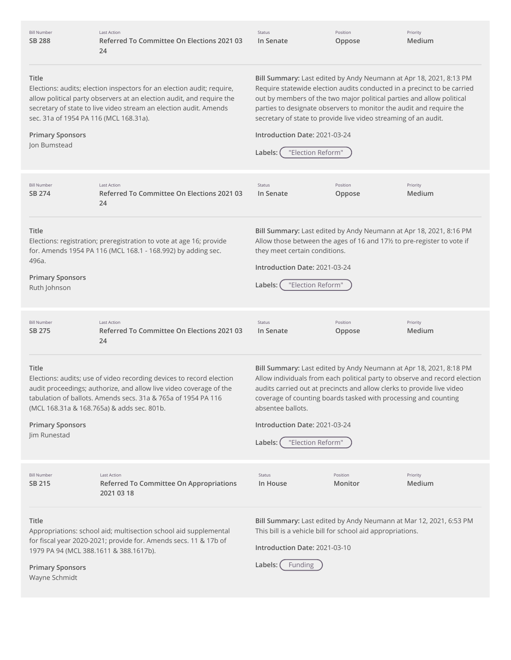| Bill Number<br>SB 288                                                                             | Last Action<br>Referred To Committee On Elections 2021 03<br>24                                                                                                                                                                                           | Status<br>In Senate                                                                                                              | Position<br>Oppose  | Priority<br>Medium                                                                                                                                                                                                                                                                            |
|---------------------------------------------------------------------------------------------------|-----------------------------------------------------------------------------------------------------------------------------------------------------------------------------------------------------------------------------------------------------------|----------------------------------------------------------------------------------------------------------------------------------|---------------------|-----------------------------------------------------------------------------------------------------------------------------------------------------------------------------------------------------------------------------------------------------------------------------------------------|
| <b>Title</b><br>sec. 31a of 1954 PA 116 (MCL 168.31a).<br><b>Primary Sponsors</b><br>Jon Bumstead | Elections: audits; election inspectors for an election audit; require,<br>allow political party observers at an election audit, and require the<br>secretary of state to live video stream an election audit. Amends                                      | secretary of state to provide live video streaming of an audit.<br>Introduction Date: 2021-03-24<br>"Election Reform"<br>Labels: |                     | Bill Summary: Last edited by Andy Neumann at Apr 18, 2021, 8:13 PM<br>Require statewide election audits conducted in a precinct to be carried<br>out by members of the two major political parties and allow political<br>parties to designate observers to monitor the audit and require the |
| <b>Bill Number</b><br>SB 274                                                                      | <b>Last Action</b><br>Referred To Committee On Elections 2021 03<br>24                                                                                                                                                                                    | Status<br>In Senate                                                                                                              | Position<br>Oppose  | Priority<br>Medium                                                                                                                                                                                                                                                                            |
| <b>Title</b><br>496a.<br><b>Primary Sponsors</b><br>Ruth Johnson                                  | Elections: registration; preregistration to vote at age 16; provide<br>for. Amends 1954 PA 116 (MCL 168.1 - 168.992) by adding sec.                                                                                                                       | they meet certain conditions.<br>Introduction Date: 2021-03-24<br>"Election Reform"<br>Labels:                                   |                     | Bill Summary: Last edited by Andy Neumann at Apr 18, 2021, 8:16 PM<br>Allow those between the ages of 16 and 17½ to pre-register to vote if                                                                                                                                                   |
| <b>Bill Number</b><br>SB 275                                                                      | <b>Last Action</b><br>Referred To Committee On Elections 2021 03<br>24                                                                                                                                                                                    | Status<br>In Senate                                                                                                              | Position<br>Oppose  | Priority<br>Medium                                                                                                                                                                                                                                                                            |
| Title<br><b>Primary Sponsors</b><br>Jim Runestad                                                  | Elections: audits; use of video recording devices to record election<br>audit proceedings; authorize, and allow live video coverage of the<br>tabulation of ballots. Amends secs. 31a & 765a of 1954 PA 116<br>(MCL 168.31a & 168.765a) & adds sec. 801b. | absentee ballots.<br>Introduction Date: 2021-03-24<br>"Election Reform"<br>Labels: (                                             |                     | Bill Summary: Last edited by Andy Neumann at Apr 18, 2021, 8:18 PM<br>Allow individuals from each political party to observe and record election<br>audits carried out at precincts and allow clerks to provide live video<br>coverage of counting boards tasked with processing and counting |
| <b>Bill Number</b><br>SB 215                                                                      | Last Action<br>Referred To Committee On Appropriations<br>2021 03 18                                                                                                                                                                                      | Status<br>In House                                                                                                               | Position<br>Monitor | Priority<br>Medium                                                                                                                                                                                                                                                                            |
| <b>Title</b><br>1979 PA 94 (MCL 388.1611 & 388.1617b).<br><b>Primary Sponsors</b>                 | Appropriations: school aid; multisection school aid supplemental<br>for fiscal year 2020-2021; provide for. Amends secs. 11 & 17b of                                                                                                                      | This bill is a vehicle bill for school aid appropriations.<br>Introduction Date: 2021-03-10<br>Labels: (<br>Funding              |                     | Bill Summary: Last edited by Andy Neumann at Mar 12, 2021, 6:53 PM                                                                                                                                                                                                                            |

Wayne Schmidt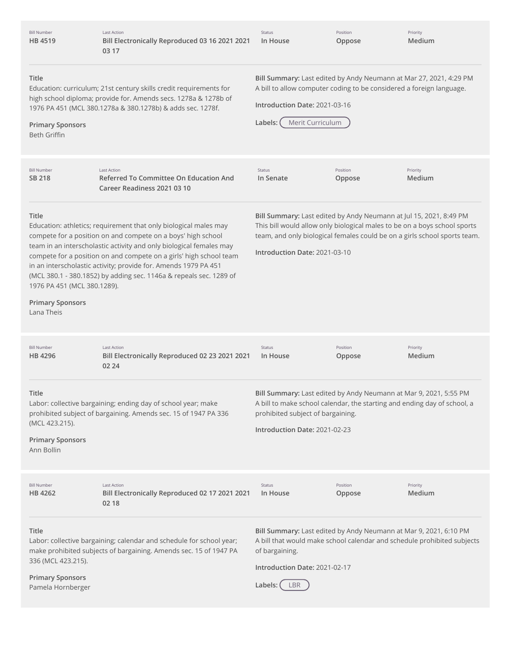| <b>Last Action</b><br>Bill Electronically Reproduced 03 16 2021 2021<br>03 17                                                                                                                                                                                                                                                                                                                                                                         | Status<br>In House             | Position<br>Oppose | Priority<br>Medium                                                                                                                                                                                                                                                                                                                                                                                                                                                                                                                                                                                                                                                                                                                                                                                                                                                       |
|-------------------------------------------------------------------------------------------------------------------------------------------------------------------------------------------------------------------------------------------------------------------------------------------------------------------------------------------------------------------------------------------------------------------------------------------------------|--------------------------------|--------------------|--------------------------------------------------------------------------------------------------------------------------------------------------------------------------------------------------------------------------------------------------------------------------------------------------------------------------------------------------------------------------------------------------------------------------------------------------------------------------------------------------------------------------------------------------------------------------------------------------------------------------------------------------------------------------------------------------------------------------------------------------------------------------------------------------------------------------------------------------------------------------|
| Education: curriculum; 21st century skills credit requirements for<br>high school diploma; provide for. Amends secs. 1278a & 1278b of<br>1976 PA 451 (MCL 380.1278a & 380.1278b) & adds sec. 1278f.                                                                                                                                                                                                                                                   | Labels:                        |                    |                                                                                                                                                                                                                                                                                                                                                                                                                                                                                                                                                                                                                                                                                                                                                                                                                                                                          |
| <b>Last Action</b><br><b>Referred To Committee On Education And</b><br>Career Readiness 2021 03 10                                                                                                                                                                                                                                                                                                                                                    | Status<br>In Senate            | Position<br>Oppose | Priority<br>Medium                                                                                                                                                                                                                                                                                                                                                                                                                                                                                                                                                                                                                                                                                                                                                                                                                                                       |
| Education: athletics; requirement that only biological males may<br>compete for a position on and compete on a boys' high school<br>team in an interscholastic activity and only biological females may<br>compete for a position on and compete on a girls' high school team<br>in an interscholastic activity; provide for. Amends 1979 PA 451<br>(MCL 380.1 - 380.1852) by adding sec. 1146a & repeals sec. 1289 of<br>1976 PA 451 (MCL 380.1289). |                                |                    |                                                                                                                                                                                                                                                                                                                                                                                                                                                                                                                                                                                                                                                                                                                                                                                                                                                                          |
| <b>Last Action</b><br>Bill Electronically Reproduced 02 23 2021 2021<br>02 24                                                                                                                                                                                                                                                                                                                                                                         | Status<br>In House             | Position<br>Oppose | Priority<br>Medium                                                                                                                                                                                                                                                                                                                                                                                                                                                                                                                                                                                                                                                                                                                                                                                                                                                       |
| Labor: collective bargaining; ending day of school year; make<br>prohibited subject of bargaining. Amends sec. 15 of 1947 PA 336                                                                                                                                                                                                                                                                                                                      |                                |                    |                                                                                                                                                                                                                                                                                                                                                                                                                                                                                                                                                                                                                                                                                                                                                                                                                                                                          |
| <b>Last Action</b><br>Bill Electronically Reproduced 02 17 2021 2021<br>02 18                                                                                                                                                                                                                                                                                                                                                                         | Status<br>In House             | Position<br>Oppose | Priority<br>Medium                                                                                                                                                                                                                                                                                                                                                                                                                                                                                                                                                                                                                                                                                                                                                                                                                                                       |
| Labor: collective bargaining; calendar and schedule for school year;<br>make prohibited subjects of bargaining. Amends sec. 15 of 1947 PA                                                                                                                                                                                                                                                                                                             | of bargaining.<br>Labels: (LBR |                    |                                                                                                                                                                                                                                                                                                                                                                                                                                                                                                                                                                                                                                                                                                                                                                                                                                                                          |
|                                                                                                                                                                                                                                                                                                                                                                                                                                                       |                                |                    | Bill Summary: Last edited by Andy Neumann at Mar 27, 2021, 4:29 PM<br>A bill to allow computer coding to be considered a foreign language.<br>Introduction Date: 2021-03-16<br>Merit Curriculum<br>Bill Summary: Last edited by Andy Neumann at Jul 15, 2021, 8:49 PM<br>This bill would allow only biological males to be on a boys school sports<br>team, and only biological females could be on a girls school sports team.<br>Introduction Date: 2021-03-10<br>Bill Summary: Last edited by Andy Neumann at Mar 9, 2021, 5:55 PM<br>A bill to make school calendar, the starting and ending day of school, a<br>prohibited subject of bargaining.<br>Introduction Date: 2021-02-23<br>Bill Summary: Last edited by Andy Neumann at Mar 9, 2021, 6:10 PM<br>A bill that would make school calendar and schedule prohibited subjects<br>Introduction Date: 2021-02-17 |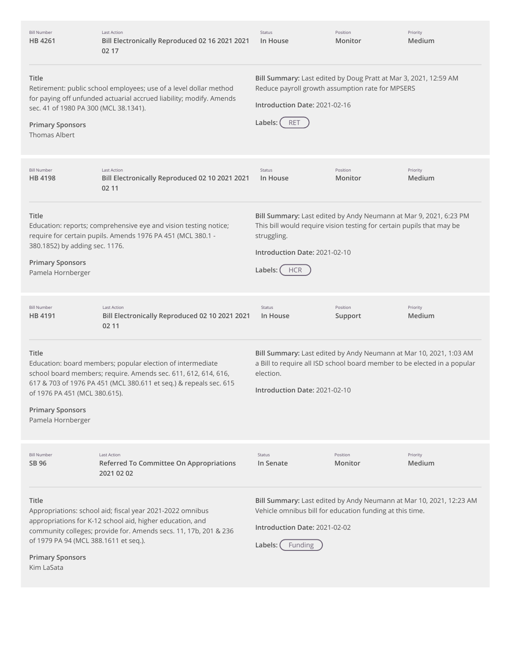| <b>Bill Number</b><br>HB 4261                                                                     | <b>Last Action</b><br>Bill Electronically Reproduced 02 16 2021 2021<br>02 17                                                                                                                     | Status<br>In House                                                                                                                                                                                                    | Position<br>Monitor | Priority<br>Medium |
|---------------------------------------------------------------------------------------------------|---------------------------------------------------------------------------------------------------------------------------------------------------------------------------------------------------|-----------------------------------------------------------------------------------------------------------------------------------------------------------------------------------------------------------------------|---------------------|--------------------|
| Title<br>sec. 41 of 1980 PA 300 (MCL 38.1341).<br><b>Primary Sponsors</b><br><b>Thomas Albert</b> | Retirement: public school employees; use of a level dollar method<br>for paying off unfunded actuarial accrued liability; modify. Amends                                                          | Bill Summary: Last edited by Doug Pratt at Mar 3, 2021, 12:59 AM<br>Reduce payroll growth assumption rate for MPSERS<br>Introduction Date: 2021-02-16<br>Labels:<br><b>RET</b>                                        |                     |                    |
| <b>Bill Number</b><br>HB 4198                                                                     | <b>Last Action</b><br>Bill Electronically Reproduced 02 10 2021 2021<br>02 11                                                                                                                     | Status<br>In House                                                                                                                                                                                                    | Position<br>Monitor | Priority<br>Medium |
| Title<br>380.1852) by adding sec. 1176.<br><b>Primary Sponsors</b><br>Pamela Hornberger           | Education: reports; comprehensive eye and vision testing notice;<br>require for certain pupils. Amends 1976 PA 451 (MCL 380.1 -                                                                   | Bill Summary: Last edited by Andy Neumann at Mar 9, 2021, 6:23 PM<br>This bill would require vision testing for certain pupils that may be<br>struggling.<br>Introduction Date: 2021-02-10<br>Labels: (<br><b>HCR</b> |                     |                    |
| <b>Bill Number</b><br>HB 4191                                                                     | Last Action<br>Bill Electronically Reproduced 02 10 2021 2021<br>02 11                                                                                                                            | Status<br>In House                                                                                                                                                                                                    | Position<br>Support | Priority<br>Medium |
| Title<br>of 1976 PA 451 (MCL 380.615).<br><b>Primary Sponsors</b><br>Pamela Hornberger            | Education: board members; popular election of intermediate<br>school board members; require. Amends sec. 611, 612, 614, 616,<br>617 & 703 of 1976 PA 451 (MCL 380.611 et seq.) & repeals sec. 615 | Bill Summary: Last edited by Andy Neumann at Mar 10, 2021, 1:03 AM<br>a Bill to require all ISD school board member to be elected in a popular<br>election.<br>Introduction Date: 2021-02-10                          |                     |                    |
| <b>Bill Number</b><br>SB 96                                                                       | Last Action<br>Referred To Committee On Appropriations<br>2021 02 02                                                                                                                              | Status<br>In Senate                                                                                                                                                                                                   | Position<br>Monitor | Priority<br>Medium |
| Title<br>of 1979 PA 94 (MCL 388.1611 et seq.).<br><b>Primary Sponsors</b><br>Kim LaSata           | Appropriations: school aid; fiscal year 2021-2022 omnibus<br>appropriations for K-12 school aid, higher education, and<br>community colleges; provide for. Amends secs. 11, 17b, 201 & 236        | Bill Summary: Last edited by Andy Neumann at Mar 10, 2021, 12:23 AM<br>Vehicle omnibus bill for education funding at this time.<br>Introduction Date: 2021-02-02<br>Labels:<br>Funding                                |                     |                    |